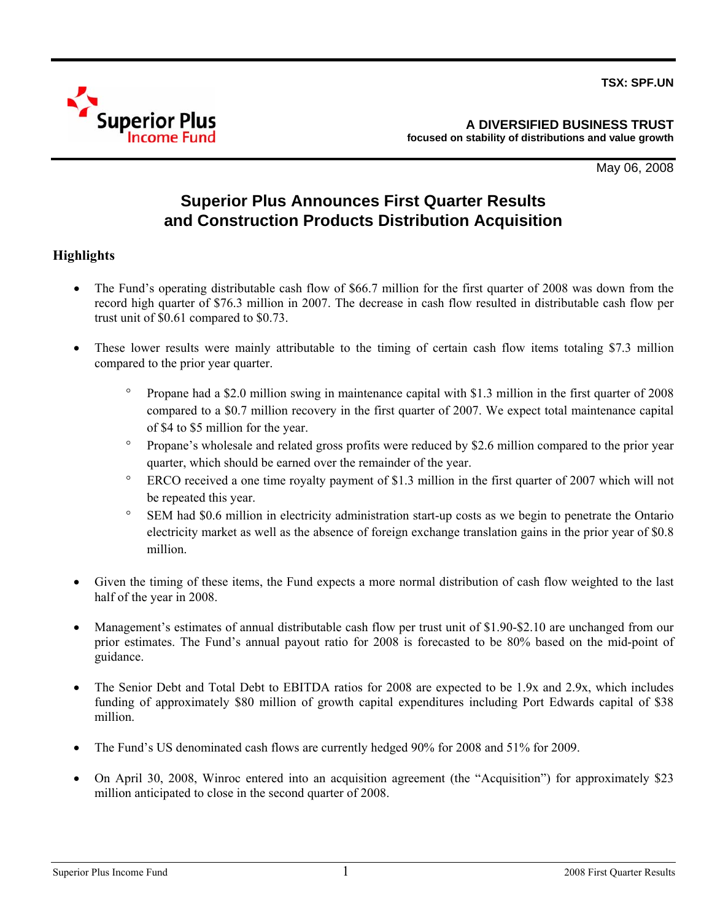

May 06, 2008

# **Superior Plus Announces First Quarter Results and Construction Products Distribution Acquisition**

# **Highlights**

- The Fund's operating distributable cash flow of \$66.7 million for the first quarter of 2008 was down from the record high quarter of \$76.3 million in 2007. The decrease in cash flow resulted in distributable cash flow per trust unit of \$0.61 compared to \$0.73.
- These lower results were mainly attributable to the timing of certain cash flow items totaling \$7.3 million compared to the prior year quarter.
	- ° Propane had a \$2.0 million swing in maintenance capital with \$1.3 million in the first quarter of 2008 compared to a \$0.7 million recovery in the first quarter of 2007. We expect total maintenance capital of \$4 to \$5 million for the year.
	- ° Propane's wholesale and related gross profits were reduced by \$2.6 million compared to the prior year quarter, which should be earned over the remainder of the year.
	- ° ERCO received a one time royalty payment of \$1.3 million in the first quarter of 2007 which will not be repeated this year.
	- ° SEM had \$0.6 million in electricity administration start-up costs as we begin to penetrate the Ontario electricity market as well as the absence of foreign exchange translation gains in the prior year of \$0.8 million.
- Given the timing of these items, the Fund expects a more normal distribution of cash flow weighted to the last half of the year in 2008.
- Management's estimates of annual distributable cash flow per trust unit of \$1.90-\$2.10 are unchanged from our prior estimates. The Fund's annual payout ratio for 2008 is forecasted to be 80% based on the mid-point of guidance.
- The Senior Debt and Total Debt to EBITDA ratios for 2008 are expected to be 1.9x and 2.9x, which includes funding of approximately \$80 million of growth capital expenditures including Port Edwards capital of \$38 million.
- The Fund's US denominated cash flows are currently hedged 90% for 2008 and 51% for 2009.
- On April 30, 2008, Winroc entered into an acquisition agreement (the "Acquisition") for approximately \$23 million anticipated to close in the second quarter of 2008.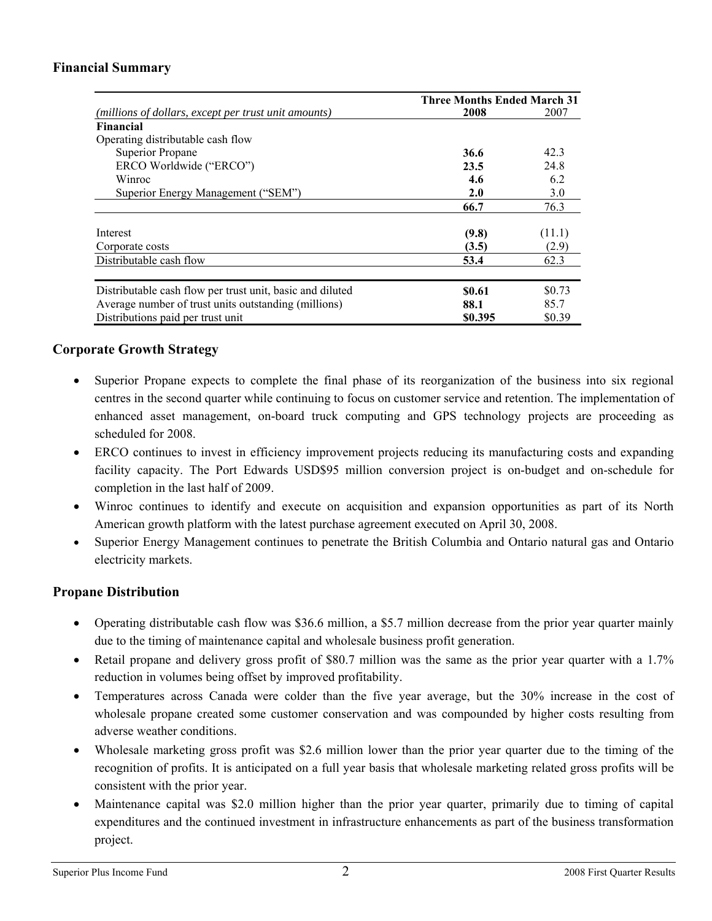# **Financial Summary**

|                                                           | <b>Three Months Ended March 31</b> |        |
|-----------------------------------------------------------|------------------------------------|--------|
| (millions of dollars, except per trust unit amounts)      | 2008                               | 2007   |
| <b>Financial</b>                                          |                                    |        |
| Operating distributable cash flow                         |                                    |        |
| Superior Propane                                          | 36.6                               | 42.3   |
| ERCO Worldwide ("ERCO")                                   | 23.5                               | 24.8   |
| Winroc                                                    | 4.6                                | 6.2    |
| Superior Energy Management ("SEM")                        | 2.0                                | 3.0    |
|                                                           | 66.7                               | 76.3   |
|                                                           |                                    |        |
| Interest                                                  | (9.8)                              | (11.1) |
| Corporate costs                                           | (3.5)                              | (2.9)  |
| Distributable cash flow                                   | 53.4                               | 62.3   |
|                                                           |                                    |        |
| Distributable cash flow per trust unit, basic and diluted | \$0.61                             | \$0.73 |
| Average number of trust units outstanding (millions)      | 88.1                               | 85.7   |
| Distributions paid per trust unit                         | \$0.395                            | \$0.39 |

## **Corporate Growth Strategy**

- Superior Propane expects to complete the final phase of its reorganization of the business into six regional centres in the second quarter while continuing to focus on customer service and retention. The implementation of enhanced asset management, on-board truck computing and GPS technology projects are proceeding as scheduled for 2008.
- ERCO continues to invest in efficiency improvement projects reducing its manufacturing costs and expanding facility capacity. The Port Edwards USD\$95 million conversion project is on-budget and on-schedule for completion in the last half of 2009.
- Winroc continues to identify and execute on acquisition and expansion opportunities as part of its North American growth platform with the latest purchase agreement executed on April 30, 2008.
- Superior Energy Management continues to penetrate the British Columbia and Ontario natural gas and Ontario electricity markets.

## **Propane Distribution**

- Operating distributable cash flow was \$36.6 million, a \$5.7 million decrease from the prior year quarter mainly due to the timing of maintenance capital and wholesale business profit generation.
- Retail propane and delivery gross profit of \$80.7 million was the same as the prior year quarter with a 1.7% reduction in volumes being offset by improved profitability.
- Temperatures across Canada were colder than the five year average, but the 30% increase in the cost of wholesale propane created some customer conservation and was compounded by higher costs resulting from adverse weather conditions.
- Wholesale marketing gross profit was \$2.6 million lower than the prior year quarter due to the timing of the recognition of profits. It is anticipated on a full year basis that wholesale marketing related gross profits will be consistent with the prior year.
- Maintenance capital was \$2.0 million higher than the prior year quarter, primarily due to timing of capital expenditures and the continued investment in infrastructure enhancements as part of the business transformation project.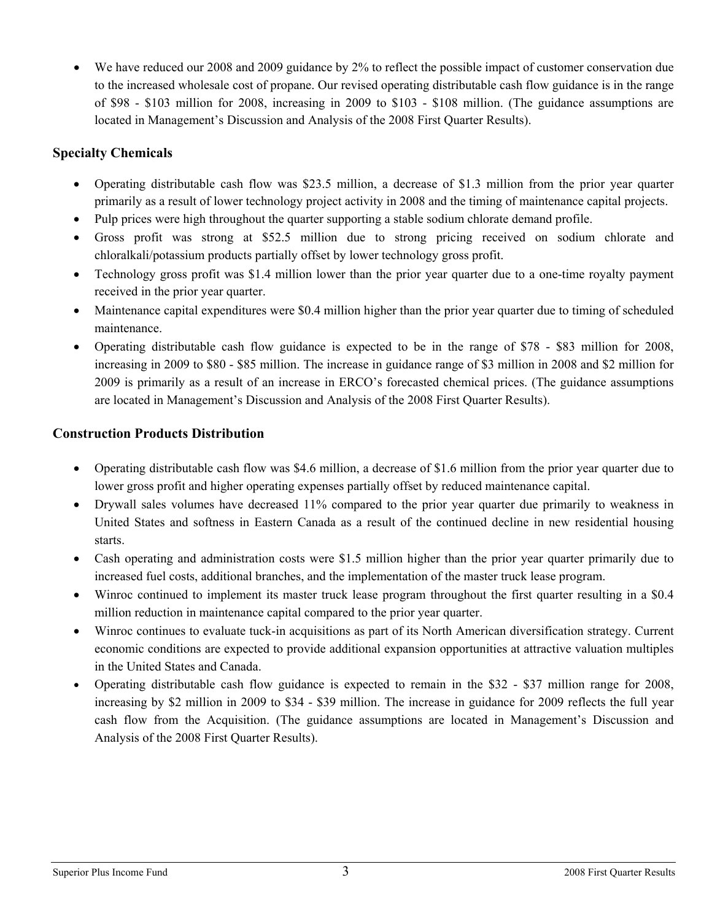• We have reduced our 2008 and 2009 guidance by 2% to reflect the possible impact of customer conservation due to the increased wholesale cost of propane. Our revised operating distributable cash flow guidance is in the range of \$98 - \$103 million for 2008, increasing in 2009 to \$103 - \$108 million. (The guidance assumptions are located in Management's Discussion and Analysis of the 2008 First Quarter Results).

# **Specialty Chemicals**

- Operating distributable cash flow was \$23.5 million, a decrease of \$1.3 million from the prior year quarter primarily as a result of lower technology project activity in 2008 and the timing of maintenance capital projects.
- Pulp prices were high throughout the quarter supporting a stable sodium chlorate demand profile.
- Gross profit was strong at \$52.5 million due to strong pricing received on sodium chlorate and chloralkali/potassium products partially offset by lower technology gross profit.
- Technology gross profit was \$1.4 million lower than the prior year quarter due to a one-time royalty payment received in the prior year quarter.
- Maintenance capital expenditures were \$0.4 million higher than the prior year quarter due to timing of scheduled maintenance.
- Operating distributable cash flow guidance is expected to be in the range of \$78 \$83 million for 2008, increasing in 2009 to \$80 - \$85 million. The increase in guidance range of \$3 million in 2008 and \$2 million for 2009 is primarily as a result of an increase in ERCO's forecasted chemical prices. (The guidance assumptions are located in Management's Discussion and Analysis of the 2008 First Quarter Results).

# **Construction Products Distribution**

- Operating distributable cash flow was \$4.6 million, a decrease of \$1.6 million from the prior year quarter due to lower gross profit and higher operating expenses partially offset by reduced maintenance capital.
- Drywall sales volumes have decreased 11% compared to the prior year quarter due primarily to weakness in United States and softness in Eastern Canada as a result of the continued decline in new residential housing starts.
- Cash operating and administration costs were \$1.5 million higher than the prior year quarter primarily due to increased fuel costs, additional branches, and the implementation of the master truck lease program.
- Winroc continued to implement its master truck lease program throughout the first quarter resulting in a \$0.4 million reduction in maintenance capital compared to the prior year quarter.
- Winroc continues to evaluate tuck-in acquisitions as part of its North American diversification strategy. Current economic conditions are expected to provide additional expansion opportunities at attractive valuation multiples in the United States and Canada.
- Operating distributable cash flow guidance is expected to remain in the \$32 \$37 million range for 2008, increasing by \$2 million in 2009 to \$34 - \$39 million. The increase in guidance for 2009 reflects the full year cash flow from the Acquisition. (The guidance assumptions are located in Management's Discussion and Analysis of the 2008 First Quarter Results).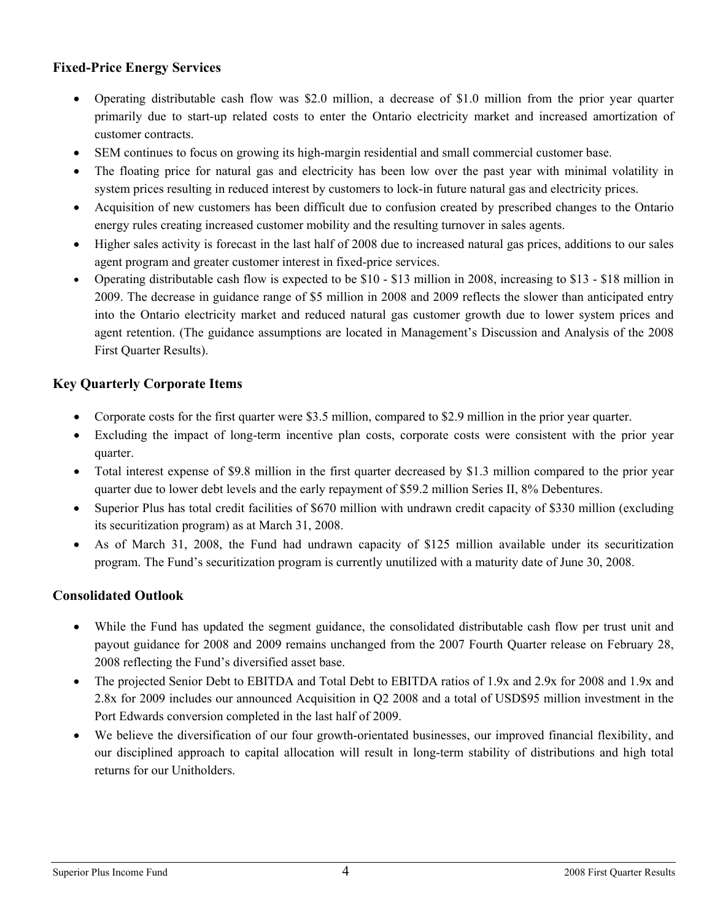# **Fixed-Price Energy Services**

- Operating distributable cash flow was \$2.0 million, a decrease of \$1.0 million from the prior year quarter primarily due to start-up related costs to enter the Ontario electricity market and increased amortization of customer contracts.
- SEM continues to focus on growing its high-margin residential and small commercial customer base.
- The floating price for natural gas and electricity has been low over the past year with minimal volatility in system prices resulting in reduced interest by customers to lock-in future natural gas and electricity prices.
- Acquisition of new customers has been difficult due to confusion created by prescribed changes to the Ontario energy rules creating increased customer mobility and the resulting turnover in sales agents.
- Higher sales activity is forecast in the last half of 2008 due to increased natural gas prices, additions to our sales agent program and greater customer interest in fixed-price services.
- Operating distributable cash flow is expected to be \$10 \$13 million in 2008, increasing to \$13 \$18 million in 2009. The decrease in guidance range of \$5 million in 2008 and 2009 reflects the slower than anticipated entry into the Ontario electricity market and reduced natural gas customer growth due to lower system prices and agent retention. (The guidance assumptions are located in Management's Discussion and Analysis of the 2008 First Quarter Results).

# **Key Quarterly Corporate Items**

- Corporate costs for the first quarter were \$3.5 million, compared to \$2.9 million in the prior year quarter.
- Excluding the impact of long-term incentive plan costs, corporate costs were consistent with the prior year quarter.
- Total interest expense of \$9.8 million in the first quarter decreased by \$1.3 million compared to the prior year quarter due to lower debt levels and the early repayment of \$59.2 million Series II, 8% Debentures.
- Superior Plus has total credit facilities of \$670 million with undrawn credit capacity of \$330 million (excluding its securitization program) as at March 31, 2008.
- As of March 31, 2008, the Fund had undrawn capacity of \$125 million available under its securitization program. The Fund's securitization program is currently unutilized with a maturity date of June 30, 2008.

# **Consolidated Outlook**

- While the Fund has updated the segment guidance, the consolidated distributable cash flow per trust unit and payout guidance for 2008 and 2009 remains unchanged from the 2007 Fourth Quarter release on February 28, 2008 reflecting the Fund's diversified asset base.
- The projected Senior Debt to EBITDA and Total Debt to EBITDA ratios of 1.9x and 2.9x for 2008 and 1.9x and 2.8x for 2009 includes our announced Acquisition in Q2 2008 and a total of USD\$95 million investment in the Port Edwards conversion completed in the last half of 2009.
- We believe the diversification of our four growth-orientated businesses, our improved financial flexibility, and our disciplined approach to capital allocation will result in long-term stability of distributions and high total returns for our Unitholders.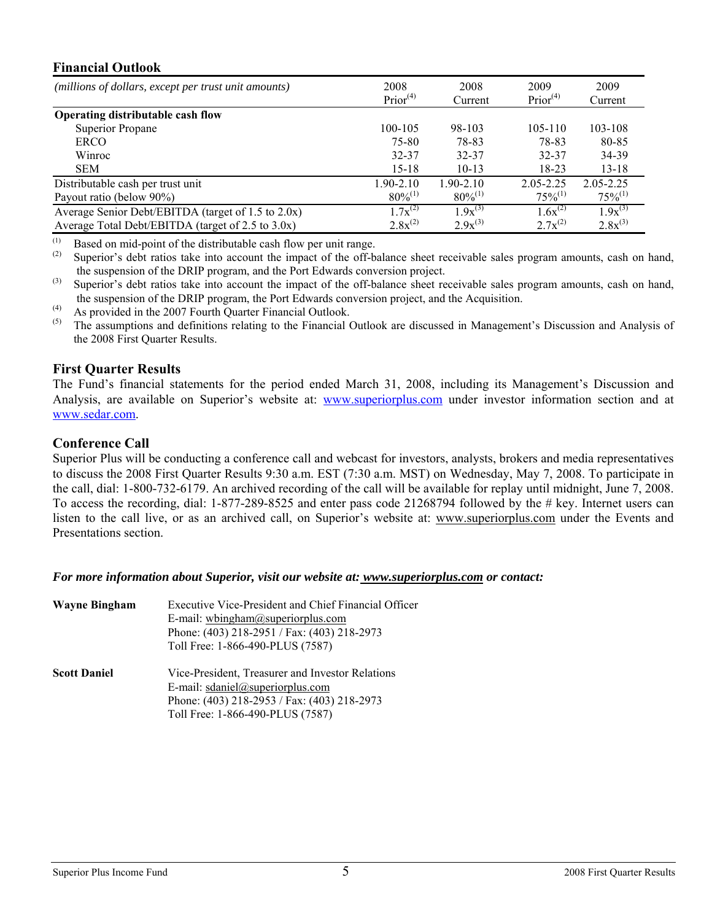## **Financial Outlook**

| т піапсіат Очивок                                    |                              |                 |                              |                 |
|------------------------------------------------------|------------------------------|-----------------|------------------------------|-----------------|
| (millions of dollars, except per trust unit amounts) | 2008<br>Prior <sup>(4)</sup> | 2008<br>Current | 2009<br>Prior <sup>(4)</sup> | 2009<br>Current |
| Operating distributable cash flow                    |                              |                 |                              |                 |
| <b>Superior Propane</b>                              | 100-105                      | 98-103          | $105 - 110$                  | 103-108         |
| <b>ERCO</b>                                          | 75-80                        | 78-83           | 78-83                        | 80-85           |
| Winroc                                               | 32-37                        | 32-37           | 32-37                        | 34-39           |
| <b>SEM</b>                                           | $15 - 18$                    | $10-13$         | $18 - 23$                    | $13 - 18$       |
| Distributable cash per trust unit                    | 1.90-2.10                    | $1.90 - 2.10$   | $2.05 - 2.25$                | $2.05 - 2.25$   |
| Payout ratio (below 90%)                             | $80\%^{(1)}$                 | $80\%^{(1)}$    | $75\%^{(1)}$                 | $75\%^{(1)}$    |
| Average Senior Debt/EBITDA (target of 1.5 to 2.0x)   | $1.7x^{(2)}$                 | $1.9x^{(3)}$    | $1.6x^{(2)}$                 | $1.9x^{(3)}$    |
| Average Total Debt/EBITDA (target of 2.5 to $3.0x$ ) | $2.8x^{(2)}$                 | $2.9x^{(3)}$    | $2.7x^{(2)}$                 | $2.8x^{(3)}$    |

(1) Based on mid-point of the distributable cash flow per unit range.<br>
Superior's debt ratios take into account the impact of the off-b

- Superior's debt ratios take into account the impact of the off-balance sheet receivable sales program amounts, cash on hand, the suspension of the DRIP program, and the Port Edwards conversion project.
- <sup>(3)</sup> Superior's debt ratios take into account the impact of the off-balance sheet receivable sales program amounts, cash on hand, the suspension of the DRIP program, the Port Edwards conversion project, and the Acquisition.
- (4) As provided in the 2007 Fourth Quarter Financial Outlook.<br>
(5) The assumptions and definitions relating to the Einancial  $\ell$
- The assumptions and definitions relating to the Financial Outlook are discussed in Management's Discussion and Analysis of the 2008 First Quarter Results.

## **First Quarter Results**

The Fund's financial statements for the period ended March 31, 2008, including its Management's Discussion and Analysis, are available on Superior's website at: [www.superiorplus.com](http://www.superiorplus.com/) under investor information section and at [www.sedar.com.](http://www.sedar.com/)

## **Conference Call**

Superior Plus will be conducting a conference call and webcast for investors, analysts, brokers and media representatives to discuss the 2008 First Quarter Results 9:30 a.m. EST (7:30 a.m. MST) on Wednesday, May 7, 2008. To participate in the call, dial: 1-800-732-6179. An archived recording of the call will be available for replay until midnight, June 7, 2008. To access the recording, dial: 1-877-289-8525 and enter pass code 21268794 followed by the # key. Internet users can listen to the call live, or as an archived call, on Superior's website at: www.superiorplus.com under the Events and Presentations section.

*For more information about Superior, visit our website at: www.superiorplus.com or contact:* 

| <b>Wayne Bingham</b> | Executive Vice-President and Chief Financial Officer<br>E-mail: whingham@superiorplus.com<br>Phone: (403) 218-2951 / Fax: (403) 218-2973<br>Toll Free: 1-866-490-PLUS (7587) |
|----------------------|------------------------------------------------------------------------------------------------------------------------------------------------------------------------------|
| <b>Scott Daniel</b>  | Vice-President, Treasurer and Investor Relations<br>E-mail: sdaniel@superiorplus.com<br>Phone: (403) 218-2953 / Fax: (403) 218-2973<br>Toll Free: 1-866-490-PLUS (7587)      |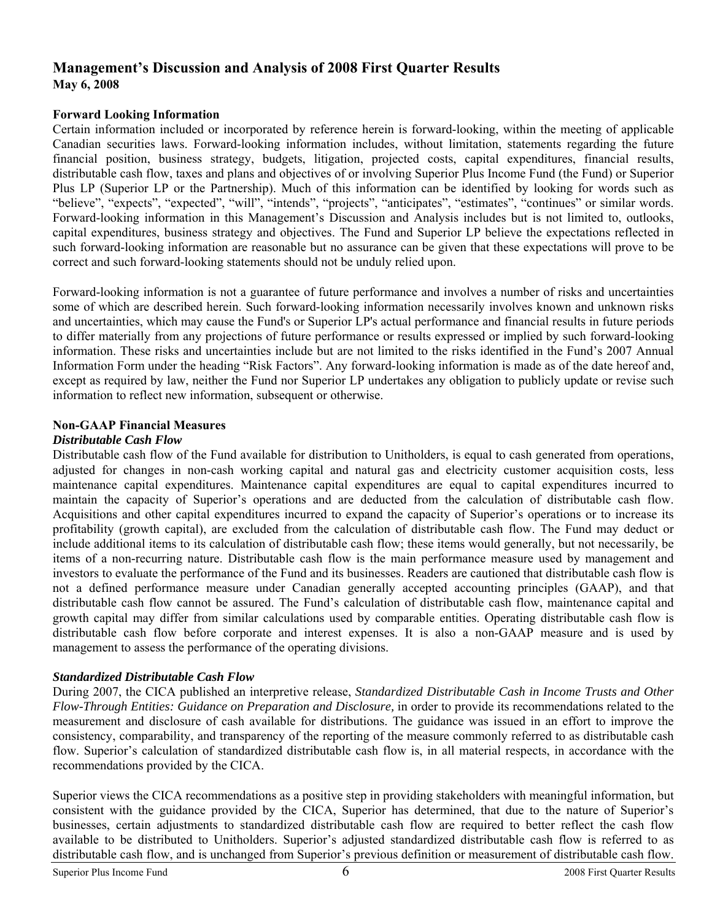# **Management's Discussion and Analysis of 2008 First Quarter Results May 6, 2008**

### **Forward Looking Information**

Certain information included or incorporated by reference herein is forward-looking, within the meeting of applicable Canadian securities laws. Forward-looking information includes, without limitation, statements regarding the future financial position, business strategy, budgets, litigation, projected costs, capital expenditures, financial results, distributable cash flow, taxes and plans and objectives of or involving Superior Plus Income Fund (the Fund) or Superior Plus LP (Superior LP or the Partnership). Much of this information can be identified by looking for words such as "believe", "expects", "expected", "will", "intends", "projects", "anticipates", "estimates", "continues" or similar words. Forward-looking information in this Management's Discussion and Analysis includes but is not limited to, outlooks, capital expenditures, business strategy and objectives. The Fund and Superior LP believe the expectations reflected in such forward-looking information are reasonable but no assurance can be given that these expectations will prove to be correct and such forward-looking statements should not be unduly relied upon.

Forward-looking information is not a guarantee of future performance and involves a number of risks and uncertainties some of which are described herein. Such forward-looking information necessarily involves known and unknown risks and uncertainties, which may cause the Fund's or Superior LP's actual performance and financial results in future periods to differ materially from any projections of future performance or results expressed or implied by such forward-looking information. These risks and uncertainties include but are not limited to the risks identified in the Fund's 2007 Annual Information Form under the heading "Risk Factors". Any forward-looking information is made as of the date hereof and, except as required by law, neither the Fund nor Superior LP undertakes any obligation to publicly update or revise such information to reflect new information, subsequent or otherwise.

### **Non-GAAP Financial Measures**

### *Distributable Cash Flow*

Distributable cash flow of the Fund available for distribution to Unitholders, is equal to cash generated from operations, adjusted for changes in non-cash working capital and natural gas and electricity customer acquisition costs, less maintenance capital expenditures. Maintenance capital expenditures are equal to capital expenditures incurred to maintain the capacity of Superior's operations and are deducted from the calculation of distributable cash flow. Acquisitions and other capital expenditures incurred to expand the capacity of Superior's operations or to increase its profitability (growth capital), are excluded from the calculation of distributable cash flow. The Fund may deduct or include additional items to its calculation of distributable cash flow; these items would generally, but not necessarily, be items of a non-recurring nature. Distributable cash flow is the main performance measure used by management and investors to evaluate the performance of the Fund and its businesses. Readers are cautioned that distributable cash flow is not a defined performance measure under Canadian generally accepted accounting principles (GAAP), and that distributable cash flow cannot be assured. The Fund's calculation of distributable cash flow, maintenance capital and growth capital may differ from similar calculations used by comparable entities. Operating distributable cash flow is distributable cash flow before corporate and interest expenses. It is also a non-GAAP measure and is used by management to assess the performance of the operating divisions.

## *Standardized Distributable Cash Flow*

During 2007, the CICA published an interpretive release, *Standardized Distributable Cash in Income Trusts and Other Flow-Through Entities: Guidance on Preparation and Disclosure,* in order to provide its recommendations related to the measurement and disclosure of cash available for distributions. The guidance was issued in an effort to improve the consistency, comparability, and transparency of the reporting of the measure commonly referred to as distributable cash flow. Superior's calculation of standardized distributable cash flow is, in all material respects, in accordance with the recommendations provided by the CICA.

Superior views the CICA recommendations as a positive step in providing stakeholders with meaningful information, but consistent with the guidance provided by the CICA, Superior has determined, that due to the nature of Superior's businesses, certain adjustments to standardized distributable cash flow are required to better reflect the cash flow available to be distributed to Unitholders. Superior's adjusted standardized distributable cash flow is referred to as distributable cash flow, and is unchanged from Superior's previous definition or measurement of distributable cash flow.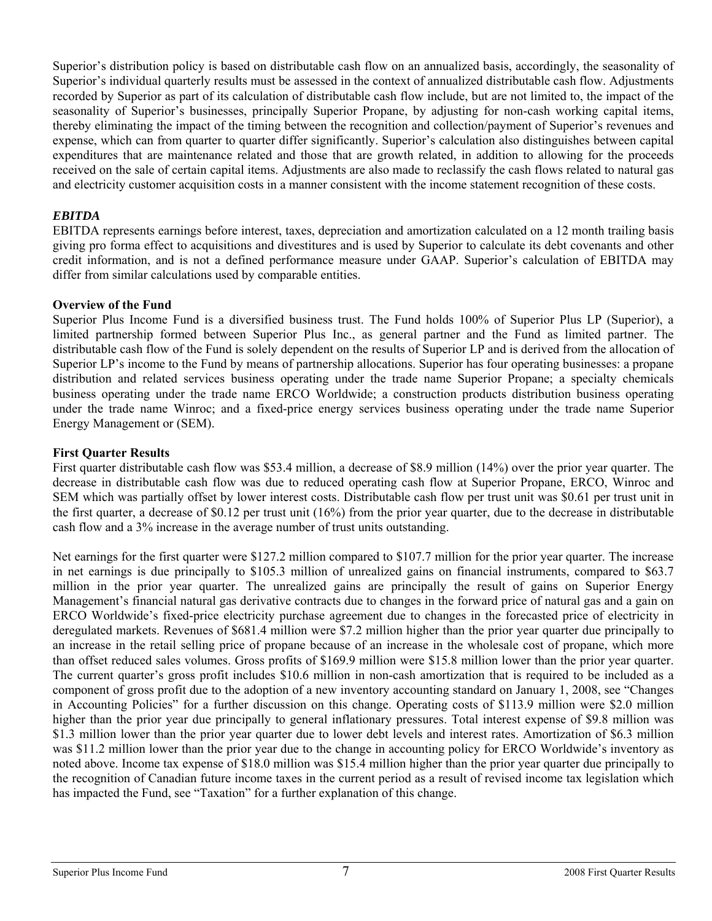Superior's distribution policy is based on distributable cash flow on an annualized basis, accordingly, the seasonality of Superior's individual quarterly results must be assessed in the context of annualized distributable cash flow. Adjustments recorded by Superior as part of its calculation of distributable cash flow include, but are not limited to, the impact of the seasonality of Superior's businesses, principally Superior Propane, by adjusting for non-cash working capital items, thereby eliminating the impact of the timing between the recognition and collection/payment of Superior's revenues and expense, which can from quarter to quarter differ significantly. Superior's calculation also distinguishes between capital expenditures that are maintenance related and those that are growth related, in addition to allowing for the proceeds received on the sale of certain capital items. Adjustments are also made to reclassify the cash flows related to natural gas and electricity customer acquisition costs in a manner consistent with the income statement recognition of these costs.

### *EBITDA*

EBITDA represents earnings before interest, taxes, depreciation and amortization calculated on a 12 month trailing basis giving pro forma effect to acquisitions and divestitures and is used by Superior to calculate its debt covenants and other credit information, and is not a defined performance measure under GAAP. Superior's calculation of EBITDA may differ from similar calculations used by comparable entities.

### **Overview of the Fund**

Superior Plus Income Fund is a diversified business trust. The Fund holds 100% of Superior Plus LP (Superior), a limited partnership formed between Superior Plus Inc., as general partner and the Fund as limited partner. The distributable cash flow of the Fund is solely dependent on the results of Superior LP and is derived from the allocation of Superior LP's income to the Fund by means of partnership allocations. Superior has four operating businesses: a propane distribution and related services business operating under the trade name Superior Propane; a specialty chemicals business operating under the trade name ERCO Worldwide; a construction products distribution business operating under the trade name Winroc; and a fixed-price energy services business operating under the trade name Superior Energy Management or (SEM).

### **First Quarter Results**

First quarter distributable cash flow was \$53.4 million, a decrease of \$8.9 million (14%) over the prior year quarter. The decrease in distributable cash flow was due to reduced operating cash flow at Superior Propane, ERCO, Winroc and SEM which was partially offset by lower interest costs. Distributable cash flow per trust unit was \$0.61 per trust unit in the first quarter, a decrease of \$0.12 per trust unit (16%) from the prior year quarter, due to the decrease in distributable cash flow and a 3% increase in the average number of trust units outstanding.

Net earnings for the first quarter were \$127.2 million compared to \$107.7 million for the prior year quarter. The increase in net earnings is due principally to \$105.3 million of unrealized gains on financial instruments, compared to \$63.7 million in the prior year quarter. The unrealized gains are principally the result of gains on Superior Energy Management's financial natural gas derivative contracts due to changes in the forward price of natural gas and a gain on ERCO Worldwide's fixed-price electricity purchase agreement due to changes in the forecasted price of electricity in deregulated markets. Revenues of \$681.4 million were \$7.2 million higher than the prior year quarter due principally to an increase in the retail selling price of propane because of an increase in the wholesale cost of propane, which more than offset reduced sales volumes. Gross profits of \$169.9 million were \$15.8 million lower than the prior year quarter. The current quarter's gross profit includes \$10.6 million in non-cash amortization that is required to be included as a component of gross profit due to the adoption of a new inventory accounting standard on January 1, 2008, see "Changes in Accounting Policies" for a further discussion on this change. Operating costs of \$113.9 million were \$2.0 million higher than the prior year due principally to general inflationary pressures. Total interest expense of \$9.8 million was \$1.3 million lower than the prior year quarter due to lower debt levels and interest rates. Amortization of \$6.3 million was \$11.2 million lower than the prior year due to the change in accounting policy for ERCO Worldwide's inventory as noted above. Income tax expense of \$18.0 million was \$15.4 million higher than the prior year quarter due principally to the recognition of Canadian future income taxes in the current period as a result of revised income tax legislation which has impacted the Fund, see "Taxation" for a further explanation of this change.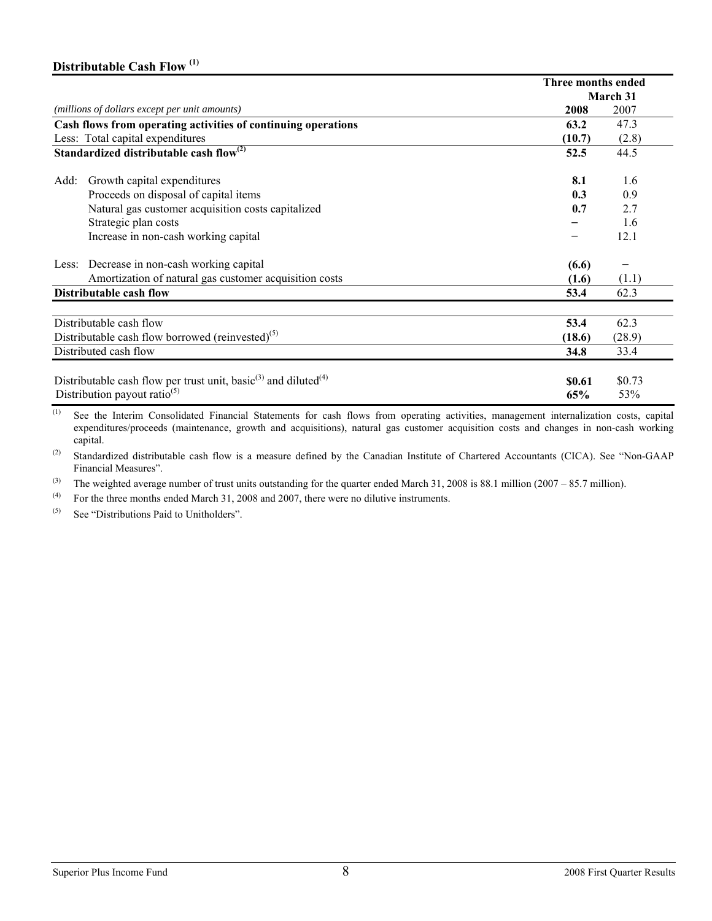# **Distributable Cash Flow (1)**

|                                                                                                                                     | Three months ended |                 |
|-------------------------------------------------------------------------------------------------------------------------------------|--------------------|-----------------|
|                                                                                                                                     |                    | <b>March 31</b> |
| (millions of dollars except per unit amounts)                                                                                       | 2008               | 2007            |
| Cash flows from operating activities of continuing operations                                                                       | 63.2               | 47.3            |
| Less: Total capital expenditures                                                                                                    | (10.7)             | (2.8)           |
| Standardized distributable cash flow $^{(2)}$                                                                                       | 52.5               | 44.5            |
| Growth capital expenditures<br>Add:                                                                                                 | 8.1                | 1.6             |
| Proceeds on disposal of capital items                                                                                               | 0.3                | 0.9             |
| Natural gas customer acquisition costs capitalized                                                                                  | 0.7                | 2.7             |
| Strategic plan costs                                                                                                                |                    | 1.6             |
| Increase in non-cash working capital                                                                                                |                    | 12.1            |
| Less: Decrease in non-cash working capital                                                                                          | (6.6)              |                 |
| Amortization of natural gas customer acquisition costs                                                                              | (1.6)              | (1.1)           |
| Distributable cash flow                                                                                                             | 53.4               | 62.3            |
| Distributable cash flow                                                                                                             | 53.4               | 62.3            |
| Distributable cash flow borrowed (reinvested) <sup>(5)</sup>                                                                        | (18.6)             | (28.9)          |
| Distributed cash flow                                                                                                               | 34.8               | 33.4            |
| Distributable cash flow per trust unit, basic <sup>(3)</sup> and diluted <sup>(4)</sup><br>Distribution payout ratio <sup>(5)</sup> | \$0.61<br>65%      | \$0.73          |
|                                                                                                                                     |                    | 53%             |

(1) See the Interim Consolidated Financial Statements for cash flows from operating activities, management internalization costs, capital expenditures/proceeds (maintenance, growth and acquisitions), natural gas customer acquisition costs and changes in non-cash working capital.

(2) Standardized distributable cash flow is a measure defined by the Canadian Institute of Chartered Accountants (CICA). See "Non-GAAP Financial Measures".

<sup>(3)</sup> The weighted average number of trust units outstanding for the quarter ended March 31, 2008 is 88.1 million (2007 – 85.7 million).

(4) For the three months ended March 31, 2008 and 2007, there were no dilutive instruments.<br>(5) See "Distributions Paid to Unitholders"

See "Distributions Paid to Unitholders".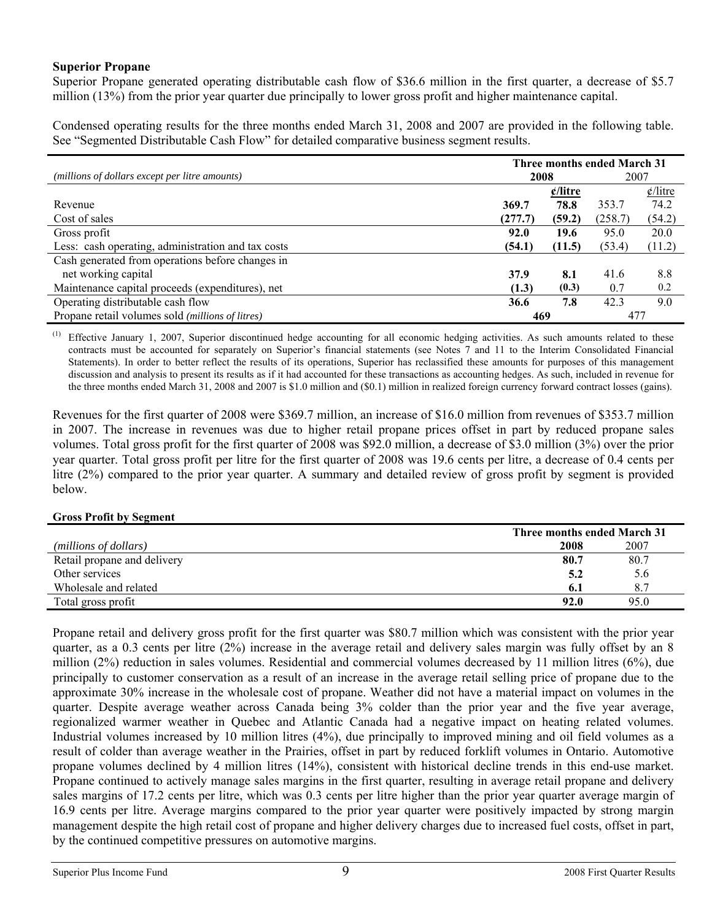### **Superior Propane**

Superior Propane generated operating distributable cash flow of \$36.6 million in the first quarter, a decrease of \$5.7 million (13%) from the prior year quarter due principally to lower gross profit and higher maintenance capital.

Condensed operating results for the three months ended March 31, 2008 and 2007 are provided in the following table. See "Segmented Distributable Cash Flow" for detailed comparative business segment results.

|                                                    | Three months ended March 31 |                          |         |                             |
|----------------------------------------------------|-----------------------------|--------------------------|---------|-----------------------------|
| (millions of dollars except per litre amounts)     | 2008                        |                          | 2007    |                             |
|                                                    |                             | $\frac{\ell}{\ell}$ itre |         | $\frac{\phi}{\text{litre}}$ |
| Revenue                                            | 369.7                       | 78.8                     | 353.7   | 74.2                        |
| Cost of sales                                      | (277.7)                     | (59.2)                   | (258.7) | (54.2)                      |
| Gross profit                                       | 92.0                        | 19.6                     | 95.0    | 20.0                        |
| Less: cash operating, administration and tax costs | (54.1)                      | (11.5)                   | (53.4)  | (11.2)                      |
| Cash generated from operations before changes in   |                             |                          |         |                             |
| net working capital                                | 37.9                        | 8.1                      | 41.6    | 8.8                         |
| Maintenance capital proceeds (expenditures), net   | (1.3)                       | (0.3)                    | 0.7     | 0.2                         |
| Operating distributable cash flow                  | 36.6                        | 7.8                      | 42.3    | 9.0                         |
| Propane retail volumes sold (millions of litres)   | 469                         |                          | 477     |                             |

Effective January 1, 2007, Superior discontinued hedge accounting for all economic hedging activities. As such amounts related to these contracts must be accounted for separately on Superior's financial statements (see Notes 7 and 11 to the Interim Consolidated Financial Statements). In order to better reflect the results of its operations, Superior has reclassified these amounts for purposes of this management discussion and analysis to present its results as if it had accounted for these transactions as accounting hedges. As such, included in revenue for the three months ended March 31, 2008 and 2007 is \$1.0 million and (\$0.1) million in realized foreign currency forward contract losses (gains).

Revenues for the first quarter of 2008 were \$369.7 million, an increase of \$16.0 million from revenues of \$353.7 million in 2007. The increase in revenues was due to higher retail propane prices offset in part by reduced propane sales volumes. Total gross profit for the first quarter of 2008 was \$92.0 million, a decrease of \$3.0 million (3%) over the prior year quarter. Total gross profit per litre for the first quarter of 2008 was 19.6 cents per litre, a decrease of 0.4 cents per litre (2%) compared to the prior year quarter. A summary and detailed review of gross profit by segment is provided below.

### **Gross Profit by Segment**

|                             | Three months ended March 31 |      |
|-----------------------------|-----------------------------|------|
| (millions of dollars)       | 2008                        | 2007 |
| Retail propane and delivery | 80.7                        | 80.7 |
| Other services              | 5.2                         | 5.6  |
| Wholesale and related       | 6. I                        | 8.7  |
| Total gross profit          | 92.0                        | 95.0 |

Propane retail and delivery gross profit for the first quarter was \$80.7 million which was consistent with the prior year quarter, as a 0.3 cents per litre (2%) increase in the average retail and delivery sales margin was fully offset by an 8 million (2%) reduction in sales volumes. Residential and commercial volumes decreased by 11 million litres (6%), due principally to customer conservation as a result of an increase in the average retail selling price of propane due to the approximate 30% increase in the wholesale cost of propane. Weather did not have a material impact on volumes in the quarter. Despite average weather across Canada being 3% colder than the prior year and the five year average, regionalized warmer weather in Quebec and Atlantic Canada had a negative impact on heating related volumes. Industrial volumes increased by 10 million litres (4%), due principally to improved mining and oil field volumes as a result of colder than average weather in the Prairies, offset in part by reduced forklift volumes in Ontario. Automotive propane volumes declined by 4 million litres (14%), consistent with historical decline trends in this end-use market. Propane continued to actively manage sales margins in the first quarter, resulting in average retail propane and delivery sales margins of 17.2 cents per litre, which was 0.3 cents per litre higher than the prior year quarter average margin of 16.9 cents per litre. Average margins compared to the prior year quarter were positively impacted by strong margin management despite the high retail cost of propane and higher delivery charges due to increased fuel costs, offset in part, by the continued competitive pressures on automotive margins.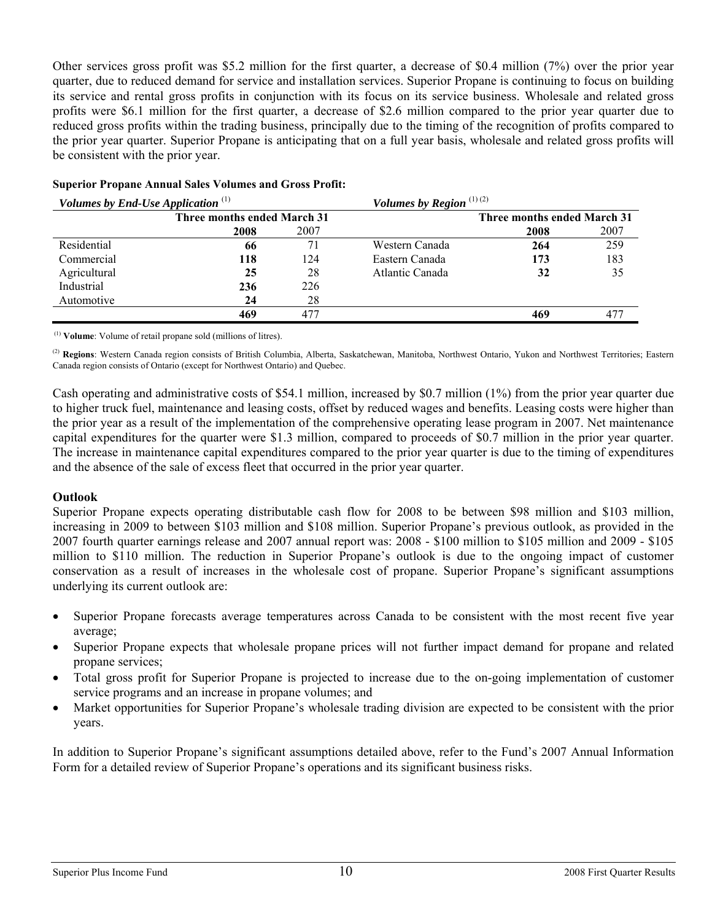Other services gross profit was \$5.2 million for the first quarter, a decrease of \$0.4 million (7%) over the prior year quarter, due to reduced demand for service and installation services. Superior Propane is continuing to focus on building its service and rental gross profits in conjunction with its focus on its service business. Wholesale and related gross profits were \$6.1 million for the first quarter, a decrease of \$2.6 million compared to the prior year quarter due to reduced gross profits within the trading business, principally due to the timing of the recognition of profits compared to the prior year quarter. Superior Propane is anticipating that on a full year basis, wholesale and related gross profits will be consistent with the prior year.

| Volumes by End-Use Application $(1)$ |                             |      | Volumes by Region $(1)(2)$ |                             |      |
|--------------------------------------|-----------------------------|------|----------------------------|-----------------------------|------|
|                                      | Three months ended March 31 |      |                            | Three months ended March 31 |      |
|                                      | 2008                        | 2007 |                            | 2008                        | 2007 |
| Residential                          | 66                          |      | Western Canada             | 264                         | 259  |
| Commercial                           | 118                         | 124  | Eastern Canada             | 173                         | 183  |
| Agricultural                         | 25                          | 28   | Atlantic Canada            | 32                          | 35   |
| Industrial                           | 236                         | 226  |                            |                             |      |
| Automotive                           | 24                          | 28   |                            |                             |      |
|                                      | 469                         | 477  |                            | 469                         | 477  |
|                                      |                             |      |                            |                             |      |

### **Superior Propane Annual Sales Volumes and Gross Profit:**

(1) **Volume**: Volume of retail propane sold (millions of litres).

(2) **Regions**: Western Canada region consists of British Columbia, Alberta, Saskatchewan, Manitoba, Northwest Ontario, Yukon and Northwest Territories; Eastern Canada region consists of Ontario (except for Northwest Ontario) and Quebec.

Cash operating and administrative costs of \$54.1 million, increased by \$0.7 million (1%) from the prior year quarter due to higher truck fuel, maintenance and leasing costs, offset by reduced wages and benefits. Leasing costs were higher than the prior year as a result of the implementation of the comprehensive operating lease program in 2007. Net maintenance capital expenditures for the quarter were \$1.3 million, compared to proceeds of \$0.7 million in the prior year quarter. The increase in maintenance capital expenditures compared to the prior year quarter is due to the timing of expenditures and the absence of the sale of excess fleet that occurred in the prior year quarter.

### **Outlook**

Superior Propane expects operating distributable cash flow for 2008 to be between \$98 million and \$103 million, increasing in 2009 to between \$103 million and \$108 million. Superior Propane's previous outlook, as provided in the 2007 fourth quarter earnings release and 2007 annual report was: 2008 - \$100 million to \$105 million and 2009 - \$105 million to \$110 million. The reduction in Superior Propane's outlook is due to the ongoing impact of customer conservation as a result of increases in the wholesale cost of propane. Superior Propane's significant assumptions underlying its current outlook are:

- Superior Propane forecasts average temperatures across Canada to be consistent with the most recent five year average;
- Superior Propane expects that wholesale propane prices will not further impact demand for propane and related propane services;
- Total gross profit for Superior Propane is projected to increase due to the on-going implementation of customer service programs and an increase in propane volumes; and
- Market opportunities for Superior Propane's wholesale trading division are expected to be consistent with the prior years.

In addition to Superior Propane's significant assumptions detailed above, refer to the Fund's 2007 Annual Information Form for a detailed review of Superior Propane's operations and its significant business risks.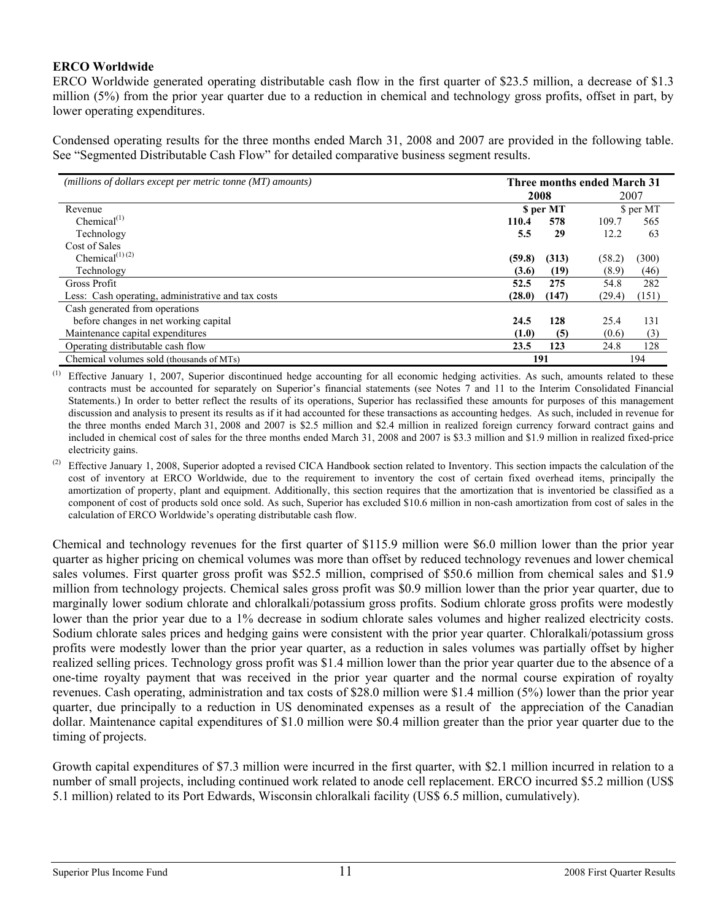### **ERCO Worldwide**

ERCO Worldwide generated operating distributable cash flow in the first quarter of \$23.5 million, a decrease of \$1.3 million (5%) from the prior year quarter due to a reduction in chemical and technology gross profits, offset in part, by lower operating expenditures.

Condensed operating results for the three months ended March 31, 2008 and 2007 are provided in the following table. See "Segmented Distributable Cash Flow" for detailed comparative business segment results.

| (millions of dollars except per metric tonne (MT) amounts) | Three months ended March 31 |                 |        |           |
|------------------------------------------------------------|-----------------------------|-----------------|--------|-----------|
| 2008                                                       |                             |                 | 2007   |           |
| Revenue                                                    |                             | <b>S</b> per MT |        | \$ per MT |
| Chemical $^{(1)}$                                          | 110.4                       | 578             | 109.7  | 565       |
| Technology                                                 | 5.5                         | 29              | 12.2   | 63        |
| Cost of Sales                                              |                             |                 |        |           |
| Chemical <sup><math>(1)</math></sup> $(2)$                 | (59.8)                      | (313)           | (58.2) | (300)     |
| Technology                                                 | (3.6)                       | (19)            | (8.9)  | (46)      |
| Gross Profit                                               | 52.5                        | 275             | 54.8   | 282       |
| Less: Cash operating, administrative and tax costs         | (28.0)                      | (147)           | (29.4) | (151)     |
| Cash generated from operations                             |                             |                 |        |           |
| before changes in net working capital                      | 24.5                        | 128             | 25.4   | 131       |
| Maintenance capital expenditures                           | (1.0)                       | (5)             | (0.6)  | (3)       |
| Operating distributable cash flow                          | 23.5                        | 123             | 24.8   | 128       |
| Chemical volumes sold (thousands of MTs)                   | 191                         |                 |        | 194       |

Effective January 1, 2007, Superior discontinued hedge accounting for all economic hedging activities. As such, amounts related to these contracts must be accounted for separately on Superior's financial statements (see Notes 7 and 11 to the Interim Consolidated Financial Statements.) In order to better reflect the results of its operations, Superior has reclassified these amounts for purposes of this management discussion and analysis to present its results as if it had accounted for these transactions as accounting hedges. As such, included in revenue for the three months ended March 31, 2008 and 2007 is \$2.5 million and \$2.4 million in realized foreign currency forward contract gains and included in chemical cost of sales for the three months ended March 31, 2008 and 2007 is \$3.3 million and \$1.9 million in realized fixed-price electricity gains.

Effective January 1, 2008, Superior adopted a revised CICA Handbook section related to Inventory. This section impacts the calculation of the cost of inventory at ERCO Worldwide, due to the requirement to inventory the cost of certain fixed overhead items, principally the amortization of property, plant and equipment. Additionally, this section requires that the amortization that is inventoried be classified as a component of cost of products sold once sold. As such, Superior has excluded \$10.6 million in non-cash amortization from cost of sales in the calculation of ERCO Worldwide's operating distributable cash flow.

Chemical and technology revenues for the first quarter of \$115.9 million were \$6.0 million lower than the prior year quarter as higher pricing on chemical volumes was more than offset by reduced technology revenues and lower chemical sales volumes. First quarter gross profit was \$52.5 million, comprised of \$50.6 million from chemical sales and \$1.9 million from technology projects. Chemical sales gross profit was \$0.9 million lower than the prior year quarter, due to marginally lower sodium chlorate and chloralkali/potassium gross profits. Sodium chlorate gross profits were modestly lower than the prior year due to a 1% decrease in sodium chlorate sales volumes and higher realized electricity costs. Sodium chlorate sales prices and hedging gains were consistent with the prior year quarter. Chloralkali/potassium gross profits were modestly lower than the prior year quarter, as a reduction in sales volumes was partially offset by higher realized selling prices. Technology gross profit was \$1.4 million lower than the prior year quarter due to the absence of a one-time royalty payment that was received in the prior year quarter and the normal course expiration of royalty revenues. Cash operating, administration and tax costs of \$28.0 million were \$1.4 million (5%) lower than the prior year quarter, due principally to a reduction in US denominated expenses as a result of the appreciation of the Canadian dollar. Maintenance capital expenditures of \$1.0 million were \$0.4 million greater than the prior year quarter due to the timing of projects.

Growth capital expenditures of \$7.3 million were incurred in the first quarter, with \$2.1 million incurred in relation to a number of small projects, including continued work related to anode cell replacement. ERCO incurred \$5.2 million (US\$ 5.1 million) related to its Port Edwards, Wisconsin chloralkali facility (US\$ 6.5 million, cumulatively).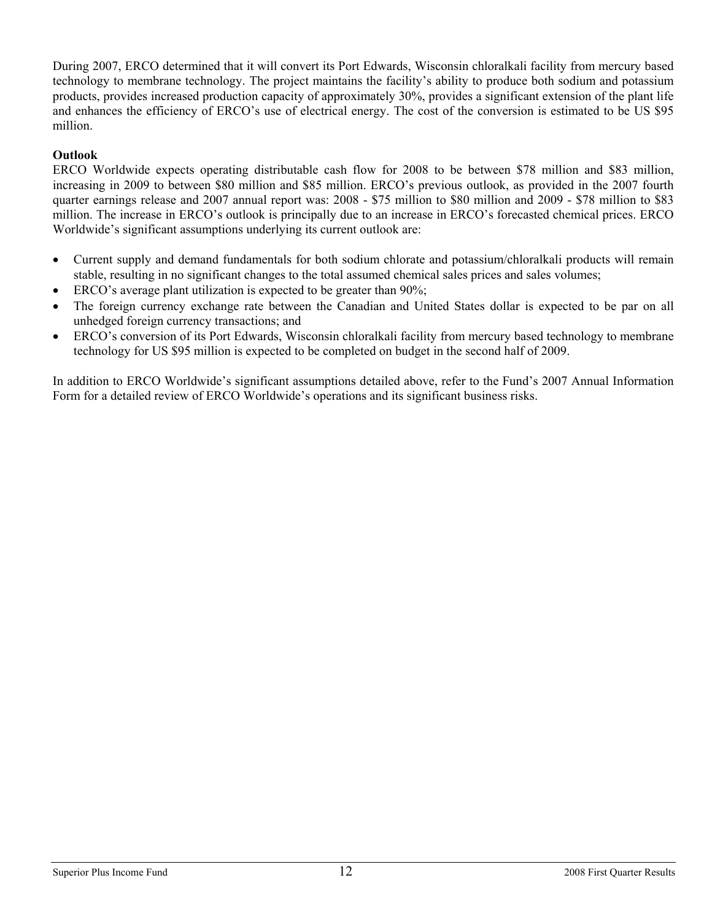During 2007, ERCO determined that it will convert its Port Edwards, Wisconsin chloralkali facility from mercury based technology to membrane technology. The project maintains the facility's ability to produce both sodium and potassium products, provides increased production capacity of approximately 30%, provides a significant extension of the plant life and enhances the efficiency of ERCO's use of electrical energy. The cost of the conversion is estimated to be US \$95 million.

# **Outlook**

ERCO Worldwide expects operating distributable cash flow for 2008 to be between \$78 million and \$83 million, increasing in 2009 to between \$80 million and \$85 million. ERCO's previous outlook, as provided in the 2007 fourth quarter earnings release and 2007 annual report was: 2008 - \$75 million to \$80 million and 2009 - \$78 million to \$83 million. The increase in ERCO's outlook is principally due to an increase in ERCO's forecasted chemical prices. ERCO Worldwide's significant assumptions underlying its current outlook are:

- Current supply and demand fundamentals for both sodium chlorate and potassium/chloralkali products will remain stable, resulting in no significant changes to the total assumed chemical sales prices and sales volumes;
- ERCO's average plant utilization is expected to be greater than 90%;
- The foreign currency exchange rate between the Canadian and United States dollar is expected to be par on all unhedged foreign currency transactions; and
- ERCO's conversion of its Port Edwards, Wisconsin chloralkali facility from mercury based technology to membrane technology for US \$95 million is expected to be completed on budget in the second half of 2009.

In addition to ERCO Worldwide's significant assumptions detailed above, refer to the Fund's 2007 Annual Information Form for a detailed review of ERCO Worldwide's operations and its significant business risks.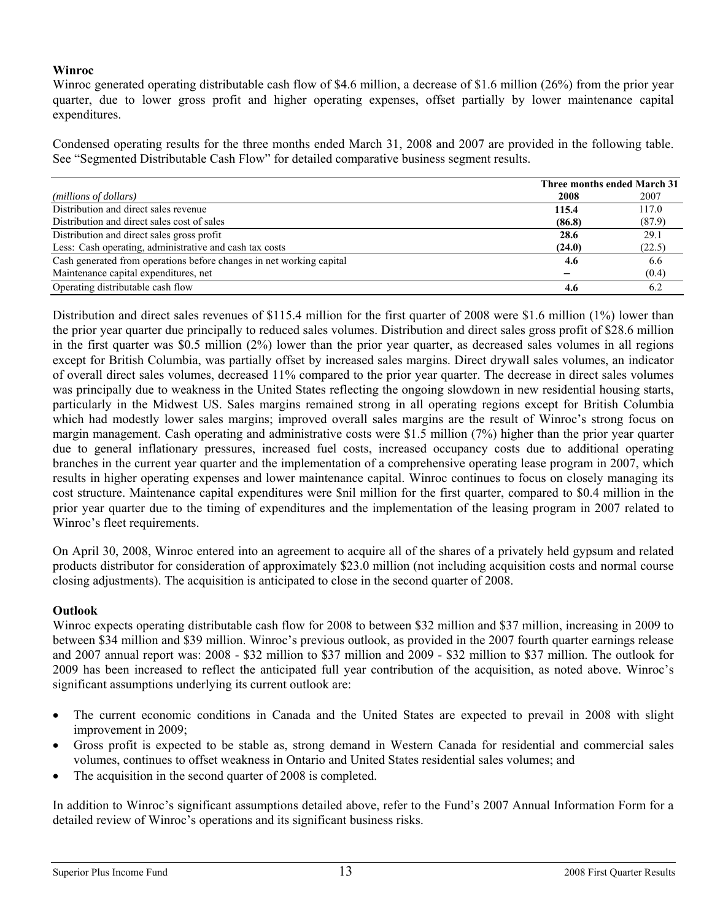## **Winroc**

Winroc generated operating distributable cash flow of \$4.6 million, a decrease of \$1.6 million (26%) from the prior year quarter, due to lower gross profit and higher operating expenses, offset partially by lower maintenance capital expenditures.

Condensed operating results for the three months ended March 31, 2008 and 2007 are provided in the following table. See "Segmented Distributable Cash Flow" for detailed comparative business segment results.

|                                                                      | <b>Three months ended March 31</b> |        |
|----------------------------------------------------------------------|------------------------------------|--------|
| (millions of dollars)                                                | 2008                               | 2007   |
| Distribution and direct sales revenue                                | 115.4                              | 117.0  |
| Distribution and direct sales cost of sales                          | (86.8)                             | (87.9) |
| Distribution and direct sales gross profit                           | 28.6                               | 29.1   |
| Less: Cash operating, administrative and cash tax costs              | (24.0)                             | (22.5) |
| Cash generated from operations before changes in net working capital | 4.6                                | 6.6    |
| Maintenance capital expenditures, net                                |                                    | (0.4)  |
| Operating distributable cash flow                                    | 4.6                                | 62     |

Distribution and direct sales revenues of \$115.4 million for the first quarter of 2008 were \$1.6 million (1%) lower than the prior year quarter due principally to reduced sales volumes. Distribution and direct sales gross profit of \$28.6 million in the first quarter was \$0.5 million (2%) lower than the prior year quarter, as decreased sales volumes in all regions except for British Columbia, was partially offset by increased sales margins. Direct drywall sales volumes, an indicator of overall direct sales volumes, decreased 11% compared to the prior year quarter. The decrease in direct sales volumes was principally due to weakness in the United States reflecting the ongoing slowdown in new residential housing starts, particularly in the Midwest US. Sales margins remained strong in all operating regions except for British Columbia which had modestly lower sales margins; improved overall sales margins are the result of Winroc's strong focus on margin management. Cash operating and administrative costs were \$1.5 million (7%) higher than the prior year quarter due to general inflationary pressures, increased fuel costs, increased occupancy costs due to additional operating branches in the current year quarter and the implementation of a comprehensive operating lease program in 2007, which results in higher operating expenses and lower maintenance capital. Winroc continues to focus on closely managing its cost structure. Maintenance capital expenditures were \$nil million for the first quarter, compared to \$0.4 million in the prior year quarter due to the timing of expenditures and the implementation of the leasing program in 2007 related to Winroc's fleet requirements.

On April 30, 2008, Winroc entered into an agreement to acquire all of the shares of a privately held gypsum and related products distributor for consideration of approximately \$23.0 million (not including acquisition costs and normal course closing adjustments). The acquisition is anticipated to close in the second quarter of 2008.

### **Outlook**

Winroc expects operating distributable cash flow for 2008 to between \$32 million and \$37 million, increasing in 2009 to between \$34 million and \$39 million. Winroc's previous outlook, as provided in the 2007 fourth quarter earnings release and 2007 annual report was: 2008 - \$32 million to \$37 million and 2009 - \$32 million to \$37 million. The outlook for 2009 has been increased to reflect the anticipated full year contribution of the acquisition, as noted above. Winroc's significant assumptions underlying its current outlook are:

- The current economic conditions in Canada and the United States are expected to prevail in 2008 with slight improvement in 2009;
- Gross profit is expected to be stable as, strong demand in Western Canada for residential and commercial sales volumes, continues to offset weakness in Ontario and United States residential sales volumes; and
- The acquisition in the second quarter of 2008 is completed.

In addition to Winroc's significant assumptions detailed above, refer to the Fund's 2007 Annual Information Form for a detailed review of Winroc's operations and its significant business risks.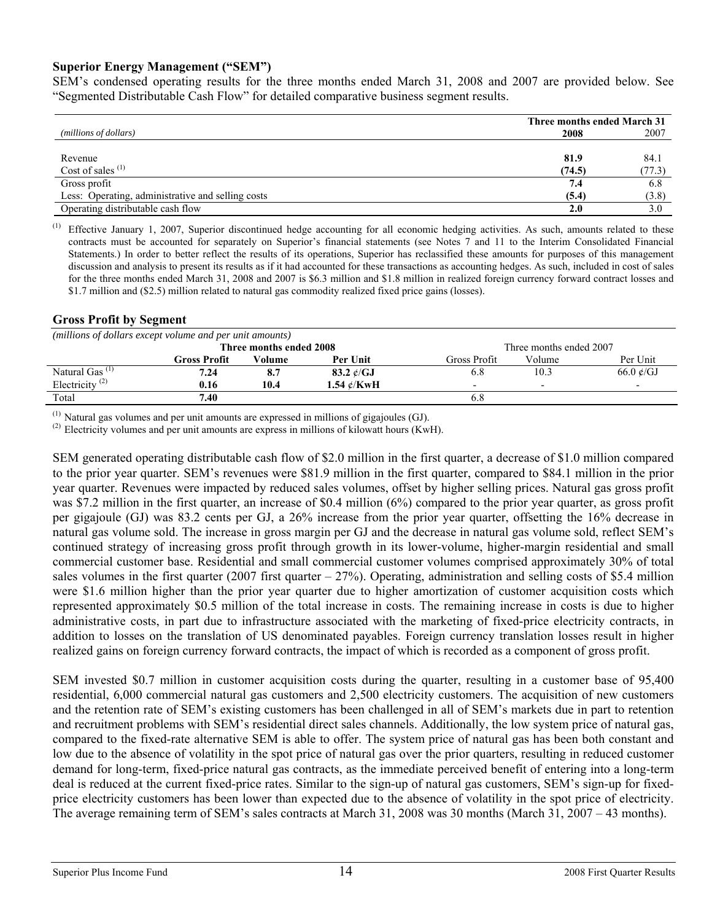### **Superior Energy Management ("SEM")**

SEM's condensed operating results for the three months ended March 31, 2008 and 2007 are provided below. See "Segmented Distributable Cash Flow" for detailed comparative business segment results.

|                                                   | Three months ended March 31 |        |  |
|---------------------------------------------------|-----------------------------|--------|--|
| (millions of dollars)                             | 2008                        | 2007   |  |
|                                                   |                             |        |  |
| Revenue                                           | 81.9                        | 84.1   |  |
| Cost of sales $(1)$                               | (74.5)                      | (77.3) |  |
| Gross profit                                      | 7.4                         | 6.8    |  |
| Less: Operating, administrative and selling costs | (5.4)                       | (3.8)  |  |
| Operating distributable cash flow                 | 2.0                         | 3.0    |  |

Effective January 1, 2007, Superior discontinued hedge accounting for all economic hedging activities. As such, amounts related to these contracts must be accounted for separately on Superior's financial statements (see Notes 7 and 11 to the Interim Consolidated Financial Statements.) In order to better reflect the results of its operations, Superior has reclassified these amounts for purposes of this management discussion and analysis to present its results as if it had accounted for these transactions as accounting hedges. As such, included in cost of sales for the three months ended March 31, 2008 and 2007 is \$6.3 million and \$1.8 million in realized foreign currency forward contract losses and \$1.7 million and (\$2.5) million related to natural gas commodity realized fixed price gains (losses).

### **Gross Profit by Segment**

| (millions of dollars except volume and per unit amounts) |              |        |                  |                                    |                          |                              |  |  |
|----------------------------------------------------------|--------------|--------|------------------|------------------------------------|--------------------------|------------------------------|--|--|
| Three months ended 2008<br>Three months ended 2007       |              |        |                  |                                    |                          |                              |  |  |
|                                                          | Gross Profit | Volume | Per Unit         | Per Unit<br>Volume<br>Gross Profit |                          |                              |  |  |
| Natural Gas <sup><math>(1)</math></sup>                  | 7.24         | 8.7    | 83.2 $\ell$ /GJ  | 6.8                                | 10.3                     | 66.0 $\mathcal{C}/\text{GJ}$ |  |  |
| Electricity <sup>(2)</sup>                               | 0.16         | 10.4   | 1.54 $\ell$ /KwH | $\overline{\phantom{0}}$           | $\overline{\phantom{0}}$ |                              |  |  |
| Total                                                    | 7.40         |        |                  |                                    |                          |                              |  |  |

 $^{(1)}$  Natural gas volumes and per unit amounts are expressed in millions of gigajoules (GJ).

 $^{(2)}$  Electricity volumes and per unit amounts are express in millions of kilowatt hours (KwH).

SEM generated operating distributable cash flow of \$2.0 million in the first quarter, a decrease of \$1.0 million compared to the prior year quarter. SEM's revenues were \$81.9 million in the first quarter, compared to \$84.1 million in the prior year quarter. Revenues were impacted by reduced sales volumes, offset by higher selling prices. Natural gas gross profit was \$7.2 million in the first quarter, an increase of \$0.4 million (6%) compared to the prior year quarter, as gross profit per gigajoule (GJ) was 83.2 cents per GJ, a 26% increase from the prior year quarter, offsetting the 16% decrease in natural gas volume sold. The increase in gross margin per GJ and the decrease in natural gas volume sold, reflect SEM's continued strategy of increasing gross profit through growth in its lower-volume, higher-margin residential and small commercial customer base. Residential and small commercial customer volumes comprised approximately 30% of total sales volumes in the first quarter (2007 first quarter  $-27\%$ ). Operating, administration and selling costs of \$5.4 million were \$1.6 million higher than the prior year quarter due to higher amortization of customer acquisition costs which represented approximately \$0.5 million of the total increase in costs. The remaining increase in costs is due to higher administrative costs, in part due to infrastructure associated with the marketing of fixed-price electricity contracts, in addition to losses on the translation of US denominated payables. Foreign currency translation losses result in higher realized gains on foreign currency forward contracts, the impact of which is recorded as a component of gross profit.

SEM invested \$0.7 million in customer acquisition costs during the quarter, resulting in a customer base of 95,400 residential, 6,000 commercial natural gas customers and 2,500 electricity customers. The acquisition of new customers and the retention rate of SEM's existing customers has been challenged in all of SEM's markets due in part to retention and recruitment problems with SEM's residential direct sales channels. Additionally, the low system price of natural gas, compared to the fixed-rate alternative SEM is able to offer. The system price of natural gas has been both constant and low due to the absence of volatility in the spot price of natural gas over the prior quarters, resulting in reduced customer demand for long-term, fixed-price natural gas contracts, as the immediate perceived benefit of entering into a long-term deal is reduced at the current fixed-price rates. Similar to the sign-up of natural gas customers, SEM's sign-up for fixedprice electricity customers has been lower than expected due to the absence of volatility in the spot price of electricity. The average remaining term of SEM's sales contracts at March 31, 2008 was 30 months (March 31, 2007 – 43 months).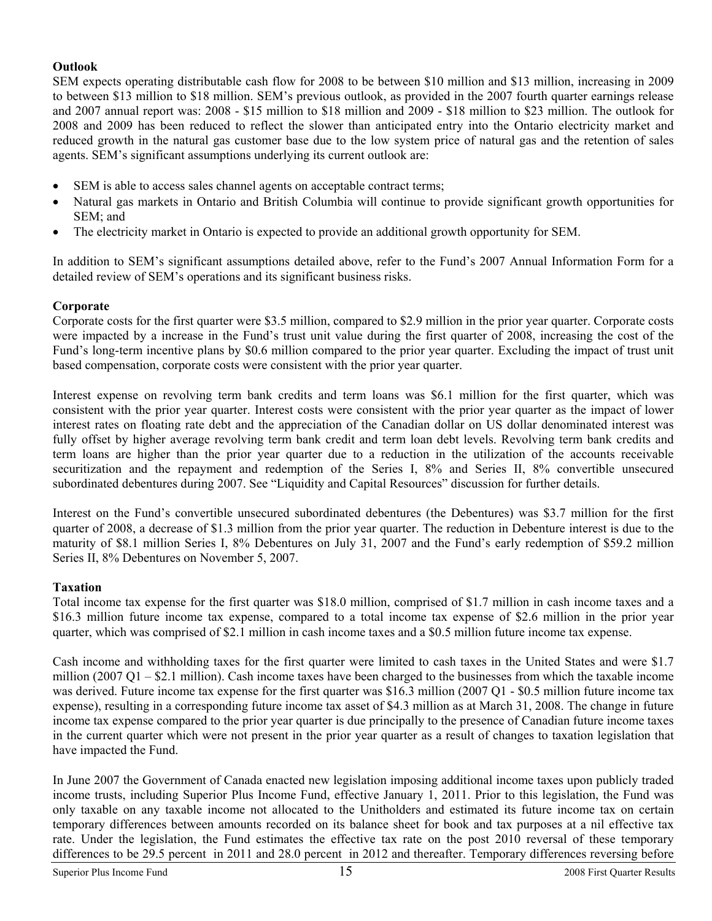## **Outlook**

SEM expects operating distributable cash flow for 2008 to be between \$10 million and \$13 million, increasing in 2009 to between \$13 million to \$18 million. SEM's previous outlook, as provided in the 2007 fourth quarter earnings release and 2007 annual report was: 2008 - \$15 million to \$18 million and 2009 - \$18 million to \$23 million. The outlook for 2008 and 2009 has been reduced to reflect the slower than anticipated entry into the Ontario electricity market and reduced growth in the natural gas customer base due to the low system price of natural gas and the retention of sales agents. SEM's significant assumptions underlying its current outlook are:

- SEM is able to access sales channel agents on acceptable contract terms;
- Natural gas markets in Ontario and British Columbia will continue to provide significant growth opportunities for SEM; and
- The electricity market in Ontario is expected to provide an additional growth opportunity for SEM.

In addition to SEM's significant assumptions detailed above, refer to the Fund's 2007 Annual Information Form for a detailed review of SEM's operations and its significant business risks.

## **Corporate**

Corporate costs for the first quarter were \$3.5 million, compared to \$2.9 million in the prior year quarter. Corporate costs were impacted by a increase in the Fund's trust unit value during the first quarter of 2008, increasing the cost of the Fund's long-term incentive plans by \$0.6 million compared to the prior year quarter. Excluding the impact of trust unit based compensation, corporate costs were consistent with the prior year quarter.

Interest expense on revolving term bank credits and term loans was \$6.1 million for the first quarter, which was consistent with the prior year quarter. Interest costs were consistent with the prior year quarter as the impact of lower interest rates on floating rate debt and the appreciation of the Canadian dollar on US dollar denominated interest was fully offset by higher average revolving term bank credit and term loan debt levels. Revolving term bank credits and term loans are higher than the prior year quarter due to a reduction in the utilization of the accounts receivable securitization and the repayment and redemption of the Series I, 8% and Series II, 8% convertible unsecured subordinated debentures during 2007. See "Liquidity and Capital Resources" discussion for further details.

Interest on the Fund's convertible unsecured subordinated debentures (the Debentures) was \$3.7 million for the first quarter of 2008, a decrease of \$1.3 million from the prior year quarter. The reduction in Debenture interest is due to the maturity of \$8.1 million Series I, 8% Debentures on July 31, 2007 and the Fund's early redemption of \$59.2 million Series II, 8% Debentures on November 5, 2007.

## **Taxation**

Total income tax expense for the first quarter was \$18.0 million, comprised of \$1.7 million in cash income taxes and a \$16.3 million future income tax expense, compared to a total income tax expense of \$2.6 million in the prior year quarter, which was comprised of \$2.1 million in cash income taxes and a \$0.5 million future income tax expense.

Cash income and withholding taxes for the first quarter were limited to cash taxes in the United States and were \$1.7 million (2007 Q1 – \$2.1 million). Cash income taxes have been charged to the businesses from which the taxable income was derived. Future income tax expense for the first quarter was \$16.3 million (2007 Q1 - \$0.5 million future income tax expense), resulting in a corresponding future income tax asset of \$4.3 million as at March 31, 2008. The change in future income tax expense compared to the prior year quarter is due principally to the presence of Canadian future income taxes in the current quarter which were not present in the prior year quarter as a result of changes to taxation legislation that have impacted the Fund.

In June 2007 the Government of Canada enacted new legislation imposing additional income taxes upon publicly traded income trusts, including Superior Plus Income Fund, effective January 1, 2011. Prior to this legislation, the Fund was only taxable on any taxable income not allocated to the Unitholders and estimated its future income tax on certain temporary differences between amounts recorded on its balance sheet for book and tax purposes at a nil effective tax rate. Under the legislation, the Fund estimates the effective tax rate on the post 2010 reversal of these temporary differences to be 29.5 percent in 2011 and 28.0 percent in 2012 and thereafter. Temporary differences reversing before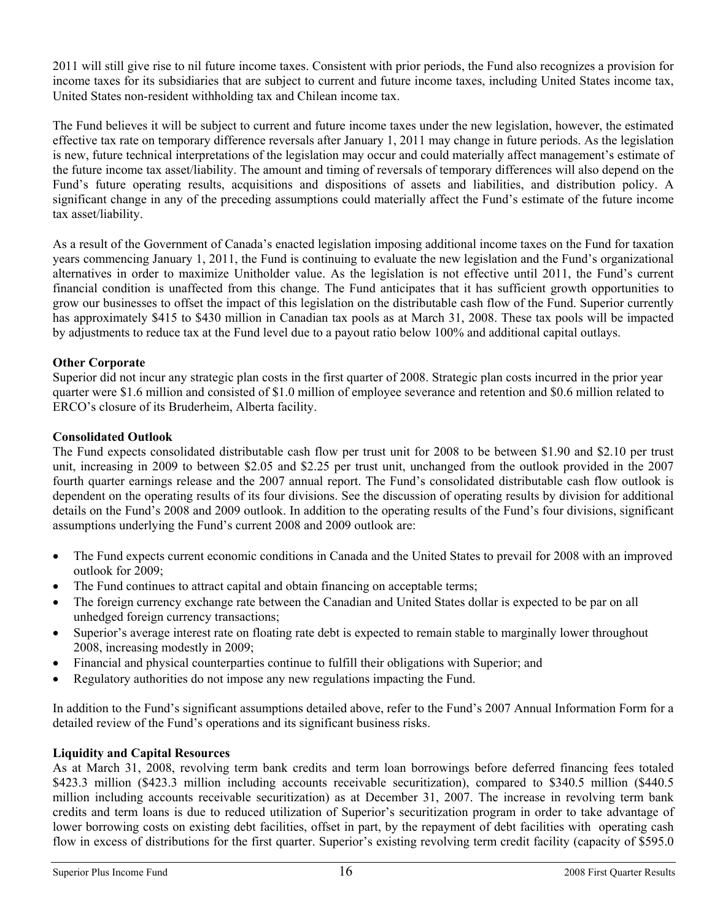2011 will still give rise to nil future income taxes. Consistent with prior periods, the Fund also recognizes a provision for income taxes for its subsidiaries that are subject to current and future income taxes, including United States income tax, United States non-resident withholding tax and Chilean income tax.

The Fund believes it will be subject to current and future income taxes under the new legislation, however, the estimated effective tax rate on temporary difference reversals after January 1, 2011 may change in future periods. As the legislation is new, future technical interpretations of the legislation may occur and could materially affect management's estimate of the future income tax asset/liability. The amount and timing of reversals of temporary differences will also depend on the Fund's future operating results, acquisitions and dispositions of assets and liabilities, and distribution policy. A significant change in any of the preceding assumptions could materially affect the Fund's estimate of the future income tax asset/liability.

As a result of the Government of Canada's enacted legislation imposing additional income taxes on the Fund for taxation years commencing January 1, 2011, the Fund is continuing to evaluate the new legislation and the Fund's organizational alternatives in order to maximize Unitholder value. As the legislation is not effective until 2011, the Fund's current financial condition is unaffected from this change. The Fund anticipates that it has sufficient growth opportunities to grow our businesses to offset the impact of this legislation on the distributable cash flow of the Fund. Superior currently has approximately \$415 to \$430 million in Canadian tax pools as at March 31, 2008. These tax pools will be impacted by adjustments to reduce tax at the Fund level due to a payout ratio below 100% and additional capital outlays.

# **Other Corporate**

Superior did not incur any strategic plan costs in the first quarter of 2008. Strategic plan costs incurred in the prior year quarter were \$1.6 million and consisted of \$1.0 million of employee severance and retention and \$0.6 million related to ERCO's closure of its Bruderheim, Alberta facility.

# **Consolidated Outlook**

The Fund expects consolidated distributable cash flow per trust unit for 2008 to be between \$1.90 and \$2.10 per trust unit, increasing in 2009 to between \$2.05 and \$2.25 per trust unit, unchanged from the outlook provided in the 2007 fourth quarter earnings release and the 2007 annual report. The Fund's consolidated distributable cash flow outlook is dependent on the operating results of its four divisions. See the discussion of operating results by division for additional details on the Fund's 2008 and 2009 outlook. In addition to the operating results of the Fund's four divisions, significant assumptions underlying the Fund's current 2008 and 2009 outlook are:

- The Fund expects current economic conditions in Canada and the United States to prevail for 2008 with an improved outlook for 2009;
- The Fund continues to attract capital and obtain financing on acceptable terms;
- The foreign currency exchange rate between the Canadian and United States dollar is expected to be par on all unhedged foreign currency transactions;
- Superior's average interest rate on floating rate debt is expected to remain stable to marginally lower throughout 2008, increasing modestly in 2009;
- Financial and physical counterparties continue to fulfill their obligations with Superior; and
- Regulatory authorities do not impose any new regulations impacting the Fund.

In addition to the Fund's significant assumptions detailed above, refer to the Fund's 2007 Annual Information Form for a detailed review of the Fund's operations and its significant business risks.

# **Liquidity and Capital Resources**

As at March 31, 2008, revolving term bank credits and term loan borrowings before deferred financing fees totaled \$423.3 million (\$423.3 million including accounts receivable securitization), compared to \$340.5 million (\$440.5 million including accounts receivable securitization) as at December 31, 2007. The increase in revolving term bank credits and term loans is due to reduced utilization of Superior's securitization program in order to take advantage of lower borrowing costs on existing debt facilities, offset in part, by the repayment of debt facilities with operating cash flow in excess of distributions for the first quarter. Superior's existing revolving term credit facility (capacity of \$595.0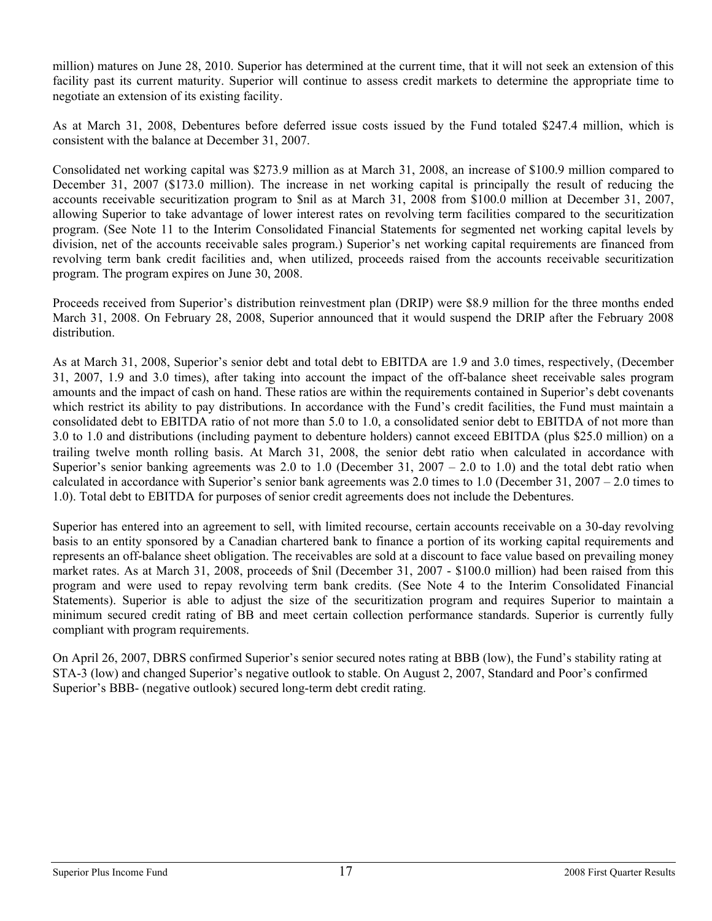million) matures on June 28, 2010. Superior has determined at the current time, that it will not seek an extension of this facility past its current maturity. Superior will continue to assess credit markets to determine the appropriate time to negotiate an extension of its existing facility.

As at March 31, 2008, Debentures before deferred issue costs issued by the Fund totaled \$247.4 million, which is consistent with the balance at December 31, 2007.

Consolidated net working capital was \$273.9 million as at March 31, 2008, an increase of \$100.9 million compared to December 31, 2007 (\$173.0 million). The increase in net working capital is principally the result of reducing the accounts receivable securitization program to \$nil as at March 31, 2008 from \$100.0 million at December 31, 2007, allowing Superior to take advantage of lower interest rates on revolving term facilities compared to the securitization program. (See Note 11 to the Interim Consolidated Financial Statements for segmented net working capital levels by division, net of the accounts receivable sales program.) Superior's net working capital requirements are financed from revolving term bank credit facilities and, when utilized, proceeds raised from the accounts receivable securitization program. The program expires on June 30, 2008.

Proceeds received from Superior's distribution reinvestment plan (DRIP) were \$8.9 million for the three months ended March 31, 2008. On February 28, 2008, Superior announced that it would suspend the DRIP after the February 2008 distribution.

As at March 31, 2008, Superior's senior debt and total debt to EBITDA are 1.9 and 3.0 times, respectively, (December 31, 2007, 1.9 and 3.0 times), after taking into account the impact of the off-balance sheet receivable sales program amounts and the impact of cash on hand. These ratios are within the requirements contained in Superior's debt covenants which restrict its ability to pay distributions. In accordance with the Fund's credit facilities, the Fund must maintain a consolidated debt to EBITDA ratio of not more than 5.0 to 1.0, a consolidated senior debt to EBITDA of not more than 3.0 to 1.0 and distributions (including payment to debenture holders) cannot exceed EBITDA (plus \$25.0 million) on a trailing twelve month rolling basis. At March 31, 2008, the senior debt ratio when calculated in accordance with Superior's senior banking agreements was 2.0 to 1.0 (December 31,  $2007 - 2.0$  to 1.0) and the total debt ratio when calculated in accordance with Superior's senior bank agreements was 2.0 times to 1.0 (December 31, 2007 – 2.0 times to 1.0). Total debt to EBITDA for purposes of senior credit agreements does not include the Debentures.

Superior has entered into an agreement to sell, with limited recourse, certain accounts receivable on a 30-day revolving basis to an entity sponsored by a Canadian chartered bank to finance a portion of its working capital requirements and represents an off-balance sheet obligation. The receivables are sold at a discount to face value based on prevailing money market rates. As at March 31, 2008, proceeds of \$nil (December 31, 2007 - \$100.0 million) had been raised from this program and were used to repay revolving term bank credits. (See Note 4 to the Interim Consolidated Financial Statements). Superior is able to adjust the size of the securitization program and requires Superior to maintain a minimum secured credit rating of BB and meet certain collection performance standards. Superior is currently fully compliant with program requirements.

On April 26, 2007, DBRS confirmed Superior's senior secured notes rating at BBB (low), the Fund's stability rating at STA-3 (low) and changed Superior's negative outlook to stable. On August 2, 2007, Standard and Poor's confirmed Superior's BBB- (negative outlook) secured long-term debt credit rating.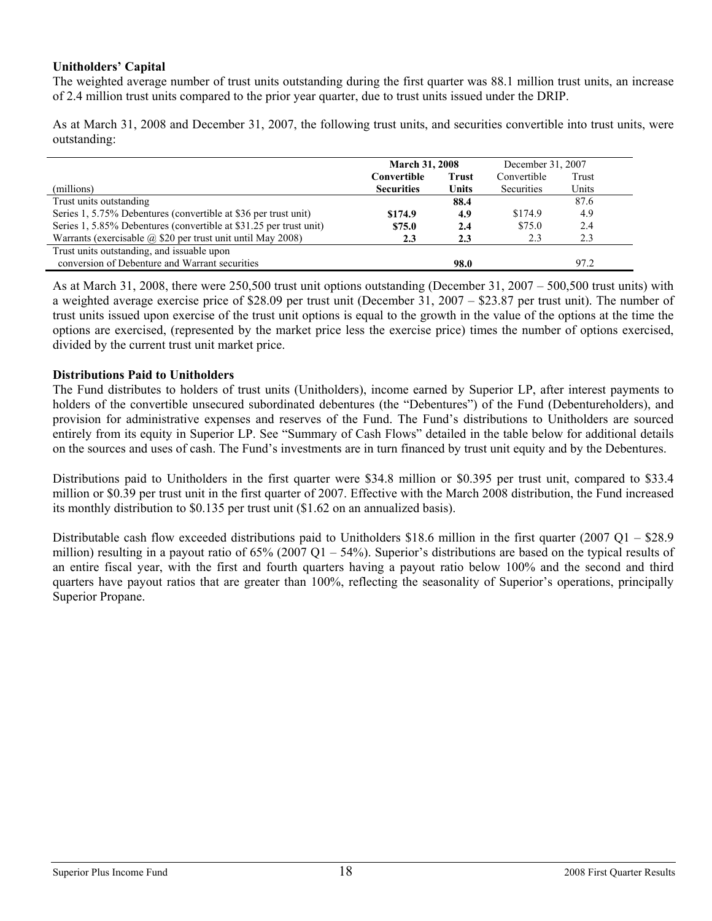## **Unitholders' Capital**

The weighted average number of trust units outstanding during the first quarter was 88.1 million trust units, an increase of 2.4 million trust units compared to the prior year quarter, due to trust units issued under the DRIP.

As at March 31, 2008 and December 31, 2007, the following trust units, and securities convertible into trust units, were outstanding:

|                                                                    | <b>March 31, 2008</b> |              | December 31, 2007 |       |
|--------------------------------------------------------------------|-----------------------|--------------|-------------------|-------|
|                                                                    | Convertible           | <b>Trust</b> | Convertible       | Trust |
| (millions)                                                         | <b>Securities</b>     | <b>Units</b> | Securities        | Units |
| Trust units outstanding                                            |                       | 88.4         |                   | 87.6  |
| Series 1, 5.75% Debentures (convertible at \$36 per trust unit)    | \$174.9               | 4.9          | \$174.9           | 4.9   |
| Series 1, 5.85% Debentures (convertible at \$31.25 per trust unit) | \$75.0                | 2.4          | \$75.0            | 2.4   |
| Warrants (exercisable @ \$20 per trust unit until May 2008)        | 2.3                   | 2.3          | 2.3               | 2.3   |
| Trust units outstanding, and issuable upon                         |                       |              |                   |       |
| conversion of Debenture and Warrant securities                     |                       | 98.0         |                   | 97.2  |

As at March 31, 2008, there were 250,500 trust unit options outstanding (December 31, 2007 – 500,500 trust units) with a weighted average exercise price of \$28.09 per trust unit (December 31, 2007 – \$23.87 per trust unit). The number of trust units issued upon exercise of the trust unit options is equal to the growth in the value of the options at the time the options are exercised, (represented by the market price less the exercise price) times the number of options exercised, divided by the current trust unit market price.

## **Distributions Paid to Unitholders**

The Fund distributes to holders of trust units (Unitholders), income earned by Superior LP, after interest payments to holders of the convertible unsecured subordinated debentures (the "Debentures") of the Fund (Debentureholders), and provision for administrative expenses and reserves of the Fund. The Fund's distributions to Unitholders are sourced entirely from its equity in Superior LP. See "Summary of Cash Flows" detailed in the table below for additional details on the sources and uses of cash. The Fund's investments are in turn financed by trust unit equity and by the Debentures.

Distributions paid to Unitholders in the first quarter were \$34.8 million or \$0.395 per trust unit, compared to \$33.4 million or \$0.39 per trust unit in the first quarter of 2007. Effective with the March 2008 distribution, the Fund increased its monthly distribution to \$0.135 per trust unit (\$1.62 on an annualized basis).

Distributable cash flow exceeded distributions paid to Unitholders \$18.6 million in the first quarter (2007 Q1 – \$28.9 million) resulting in a payout ratio of  $65\%$  (2007 Q1 –  $54\%$ ). Superior's distributions are based on the typical results of an entire fiscal year, with the first and fourth quarters having a payout ratio below 100% and the second and third quarters have payout ratios that are greater than 100%, reflecting the seasonality of Superior's operations, principally Superior Propane.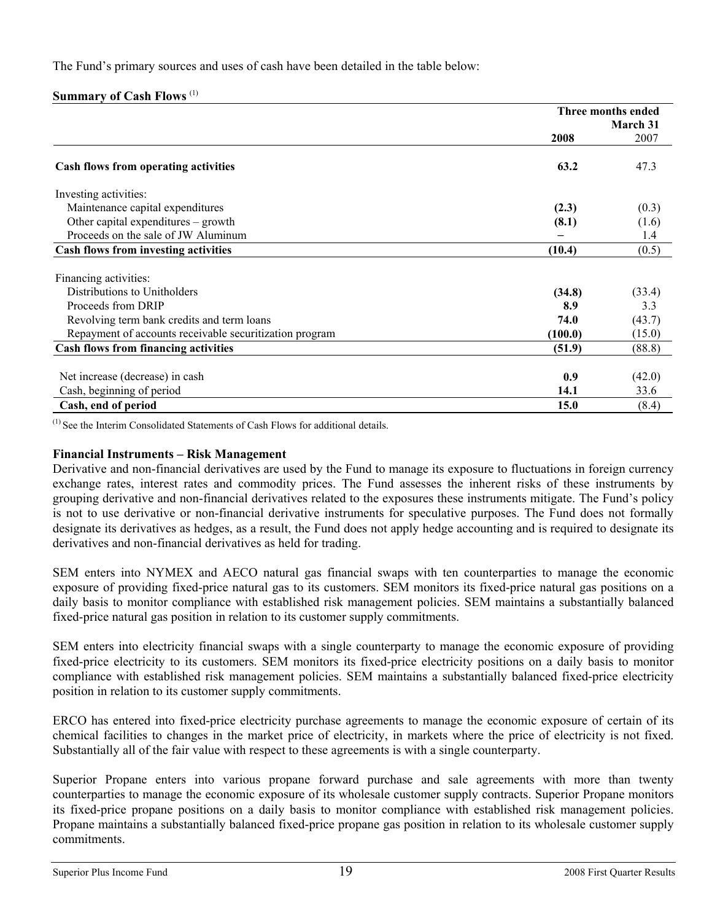The Fund's primary sources and uses of cash have been detailed in the table below:

# **Summary of Cash Flows** (1)

|                                                         | Three months ended |                 |  |
|---------------------------------------------------------|--------------------|-----------------|--|
|                                                         |                    | <b>March 31</b> |  |
|                                                         | 2008               | 2007            |  |
| Cash flows from operating activities                    | 63.2               | 47.3            |  |
| Investing activities:                                   |                    |                 |  |
| Maintenance capital expenditures                        | (2.3)              | (0.3)           |  |
| Other capital expenditures – growth                     | (8.1)              | (1.6)           |  |
| Proceeds on the sale of JW Aluminum                     |                    | 1.4             |  |
| Cash flows from investing activities                    | (10.4)             | (0.5)           |  |
| Financing activities:                                   |                    |                 |  |
| Distributions to Unitholders                            | (34.8)             | (33.4)          |  |
| Proceeds from DRIP                                      | 8.9                | 3.3             |  |
| Revolving term bank credits and term loans              | 74.0               | (43.7)          |  |
| Repayment of accounts receivable securitization program | (100.0)            | (15.0)          |  |
| <b>Cash flows from financing activities</b>             | (51.9)             | (88.8)          |  |
|                                                         |                    |                 |  |
| Net increase (decrease) in cash                         | 0.9                | (42.0)          |  |
| Cash, beginning of period                               | 14.1               | 33.6            |  |
| Cash, end of period                                     | 15.0               | (8.4)           |  |

 $<sup>(1)</sup>$  See the Interim Consolidated Statements of Cash Flows for additional details.</sup>

# **Financial Instruments – Risk Management**

Derivative and non-financial derivatives are used by the Fund to manage its exposure to fluctuations in foreign currency exchange rates, interest rates and commodity prices. The Fund assesses the inherent risks of these instruments by grouping derivative and non-financial derivatives related to the exposures these instruments mitigate. The Fund's policy is not to use derivative or non-financial derivative instruments for speculative purposes. The Fund does not formally designate its derivatives as hedges, as a result, the Fund does not apply hedge accounting and is required to designate its derivatives and non-financial derivatives as held for trading.

SEM enters into NYMEX and AECO natural gas financial swaps with ten counterparties to manage the economic exposure of providing fixed-price natural gas to its customers. SEM monitors its fixed-price natural gas positions on a daily basis to monitor compliance with established risk management policies. SEM maintains a substantially balanced fixed-price natural gas position in relation to its customer supply commitments.

SEM enters into electricity financial swaps with a single counterparty to manage the economic exposure of providing fixed-price electricity to its customers. SEM monitors its fixed-price electricity positions on a daily basis to monitor compliance with established risk management policies. SEM maintains a substantially balanced fixed-price electricity position in relation to its customer supply commitments.

ERCO has entered into fixed-price electricity purchase agreements to manage the economic exposure of certain of its chemical facilities to changes in the market price of electricity, in markets where the price of electricity is not fixed. Substantially all of the fair value with respect to these agreements is with a single counterparty.

Superior Propane enters into various propane forward purchase and sale agreements with more than twenty counterparties to manage the economic exposure of its wholesale customer supply contracts. Superior Propane monitors its fixed-price propane positions on a daily basis to monitor compliance with established risk management policies. Propane maintains a substantially balanced fixed-price propane gas position in relation to its wholesale customer supply commitments.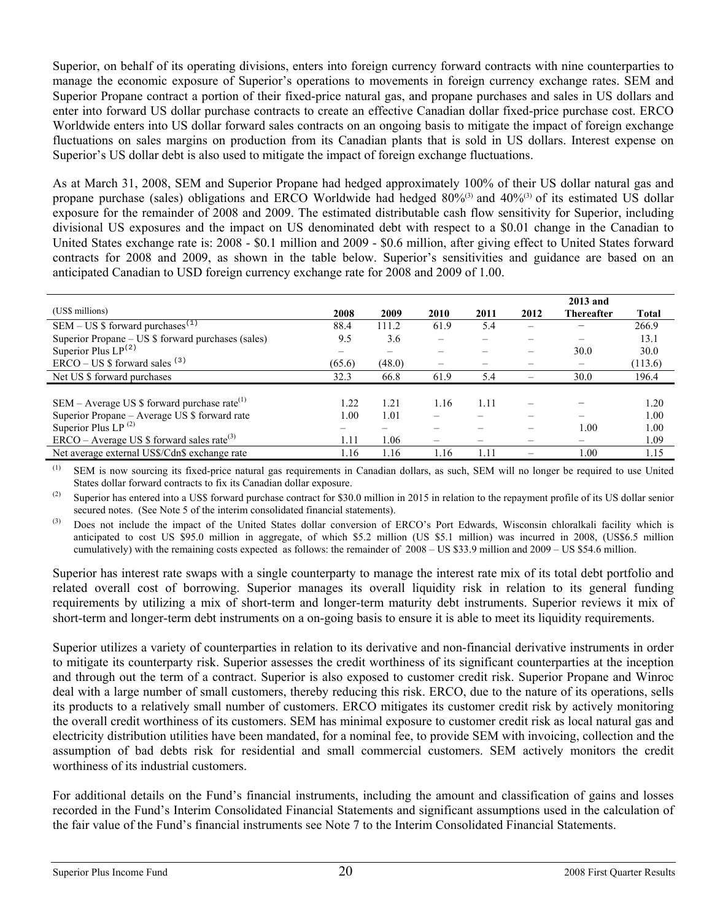Superior, on behalf of its operating divisions, enters into foreign currency forward contracts with nine counterparties to manage the economic exposure of Superior's operations to movements in foreign currency exchange rates. SEM and Superior Propane contract a portion of their fixed-price natural gas, and propane purchases and sales in US dollars and enter into forward US dollar purchase contracts to create an effective Canadian dollar fixed-price purchase cost. ERCO Worldwide enters into US dollar forward sales contracts on an ongoing basis to mitigate the impact of foreign exchange fluctuations on sales margins on production from its Canadian plants that is sold in US dollars. Interest expense on Superior's US dollar debt is also used to mitigate the impact of foreign exchange fluctuations.

As at March 31, 2008, SEM and Superior Propane had hedged approximately 100% of their US dollar natural gas and propane purchase (sales) obligations and ERCO Worldwide had hedged 80%<sup>(3)</sup> and 40%<sup>(3)</sup> of its estimated US dollar exposure for the remainder of 2008 and 2009. The estimated distributable cash flow sensitivity for Superior, including divisional US exposures and the impact on US denominated debt with respect to a \$0.01 change in the Canadian to United States exchange rate is: 2008 - \$0.1 million and 2009 - \$0.6 million, after giving effect to United States forward contracts for 2008 and 2009, as shown in the table below. Superior's sensitivities and guidance are based on an anticipated Canadian to USD foreign currency exchange rate for 2008 and 2009 of 1.00.

|                                                          |        |        |                          |      |      | 2013 and   |              |
|----------------------------------------------------------|--------|--------|--------------------------|------|------|------------|--------------|
| (US\$ millions)                                          | 2008   | 2009   | 2010                     | 2011 | 2012 | Thereafter | <b>Total</b> |
| SEM – US \$ forward purchases <sup>(1)</sup>             | 88.4   | 111.2  | 61.9                     | 5.4  | -    | -          | 266.9        |
| Superior Propane – US \$ forward purchases (sales)       | 9.5    | 3.6    | $\overline{\phantom{0}}$ |      |      | -          | 13.1         |
| Superior Plus $LP^{(2)}$                                 |        |        |                          |      |      | 30.0       | 30.0         |
| $ERCO - US$ \$ forward sales $(3)$                       | (65.6) | (48.0) |                          |      |      |            | (113.6)      |
| Net US \$ forward purchases                              | 32.3   | 66.8   | 61.9                     | 5.4  |      | 30.0       | 196.4        |
|                                                          |        |        |                          |      |      |            |              |
| SEM – Average US \$ forward purchase rate <sup>(1)</sup> | 1.22   | 1.21   | 1.16                     | 1.11 |      |            | 1.20         |
| Superior Propane – Average US \$ forward rate            | 1.00   | 1.01   |                          |      |      |            | 1.00         |
| Superior Plus LP $^{(2)}$                                |        |        |                          |      | —    | 1.00       | 1.00         |
| $ERCO - Average US $$ forward sales rate <sup>(3)</sup>  | 1.11   | 1.06   |                          |      |      |            | 1.09         |
| Net average external US\$/Cdn\$ exchange rate            | l.16   | 1.16   | 1.16                     | 0.11 |      | .00        | 1.15         |

(1) SEM is now sourcing its fixed-price natural gas requirements in Canadian dollars, as such, SEM will no longer be required to use United States dollar forward contracts to fix its Canadian dollar exposure.

<sup>(2)</sup> Superior has entered into a US\$ forward purchase contract for \$30.0 million in 2015 in relation to the repayment profile of its US dollar senior secured notes. (See Note 5 of the interim consolidated financial statements).

<sup>(3)</sup> Does not include the impact of the United States dollar conversion of ERCO's Port Edwards, Wisconsin chloralkali facility which is anticipated to cost US \$95.0 million in aggregate, of which \$5.2 million (US \$5.1 million) was incurred in 2008, (US\$6.5 million cumulatively) with the remaining costs expected as follows: the remainder of 2008 – US \$33.9 million and 2009 – US \$54.6 million.

Superior has interest rate swaps with a single counterparty to manage the interest rate mix of its total debt portfolio and related overall cost of borrowing. Superior manages its overall liquidity risk in relation to its general funding requirements by utilizing a mix of short-term and longer-term maturity debt instruments. Superior reviews it mix of short-term and longer-term debt instruments on a on-going basis to ensure it is able to meet its liquidity requirements.

Superior utilizes a variety of counterparties in relation to its derivative and non-financial derivative instruments in order to mitigate its counterparty risk. Superior assesses the credit worthiness of its significant counterparties at the inception and through out the term of a contract. Superior is also exposed to customer credit risk. Superior Propane and Winroc deal with a large number of small customers, thereby reducing this risk. ERCO, due to the nature of its operations, sells its products to a relatively small number of customers. ERCO mitigates its customer credit risk by actively monitoring the overall credit worthiness of its customers. SEM has minimal exposure to customer credit risk as local natural gas and electricity distribution utilities have been mandated, for a nominal fee, to provide SEM with invoicing, collection and the assumption of bad debts risk for residential and small commercial customers. SEM actively monitors the credit worthiness of its industrial customers.

For additional details on the Fund's financial instruments, including the amount and classification of gains and losses recorded in the Fund's Interim Consolidated Financial Statements and significant assumptions used in the calculation of the fair value of the Fund's financial instruments see Note 7 to the Interim Consolidated Financial Statements.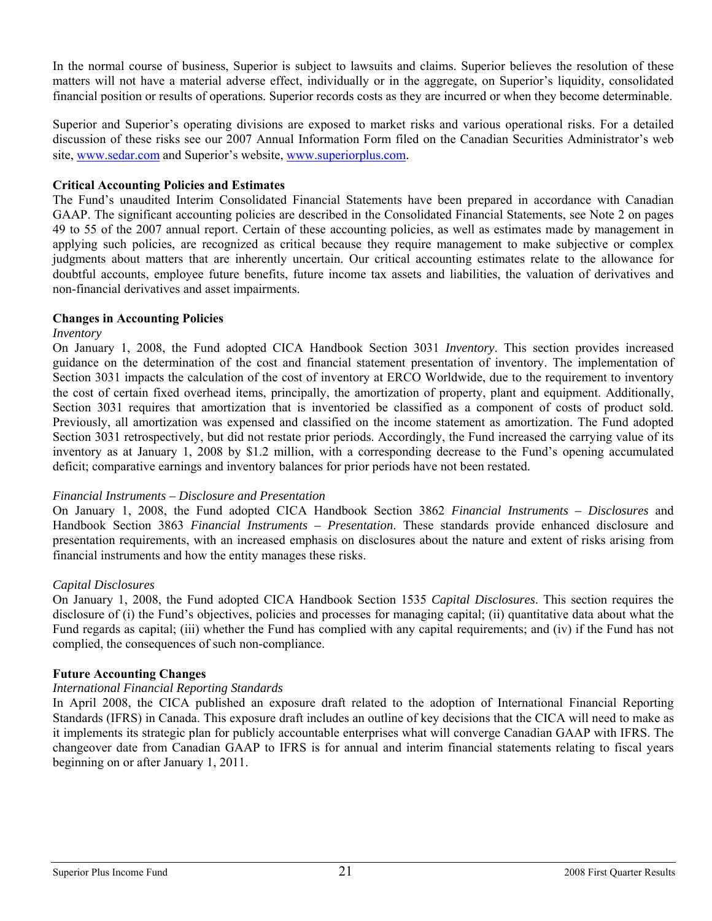In the normal course of business, Superior is subject to lawsuits and claims. Superior believes the resolution of these matters will not have a material adverse effect, individually or in the aggregate, on Superior's liquidity, consolidated financial position or results of operations. Superior records costs as they are incurred or when they become determinable.

Superior and Superior's operating divisions are exposed to market risks and various operational risks. For a detailed discussion of these risks see our 2007 Annual Information Form filed on the Canadian Securities Administrator's web site, [www.sedar.com](http://www.sedar.com/) and Superior's website, [www.superiorplus.com](http://www.superiorplus.com/).

### **Critical Accounting Policies and Estimates**

The Fund's unaudited Interim Consolidated Financial Statements have been prepared in accordance with Canadian GAAP. The significant accounting policies are described in the Consolidated Financial Statements, see Note 2 on pages 49 to 55 of the 2007 annual report. Certain of these accounting policies, as well as estimates made by management in applying such policies, are recognized as critical because they require management to make subjective or complex judgments about matters that are inherently uncertain. Our critical accounting estimates relate to the allowance for doubtful accounts, employee future benefits, future income tax assets and liabilities, the valuation of derivatives and non-financial derivatives and asset impairments.

### **Changes in Accounting Policies**

### *Inventory*

On January 1, 2008, the Fund adopted CICA Handbook Section 3031 *Inventory*. This section provides increased guidance on the determination of the cost and financial statement presentation of inventory. The implementation of Section 3031 impacts the calculation of the cost of inventory at ERCO Worldwide, due to the requirement to inventory the cost of certain fixed overhead items, principally, the amortization of property, plant and equipment. Additionally, Section 3031 requires that amortization that is inventoried be classified as a component of costs of product sold. Previously, all amortization was expensed and classified on the income statement as amortization. The Fund adopted Section 3031 retrospectively, but did not restate prior periods. Accordingly, the Fund increased the carrying value of its inventory as at January 1, 2008 by \$1.2 million, with a corresponding decrease to the Fund's opening accumulated deficit; comparative earnings and inventory balances for prior periods have not been restated.

## *Financial Instruments – Disclosure and Presentation*

On January 1, 2008, the Fund adopted CICA Handbook Section 3862 *Financial Instruments – Disclosures* and Handbook Section 3863 *Financial Instruments – Presentation*. These standards provide enhanced disclosure and presentation requirements, with an increased emphasis on disclosures about the nature and extent of risks arising from financial instruments and how the entity manages these risks.

## *Capital Disclosures*

On January 1, 2008, the Fund adopted CICA Handbook Section 1535 *Capital Disclosures*. This section requires the disclosure of (i) the Fund's objectives, policies and processes for managing capital; (ii) quantitative data about what the Fund regards as capital; (iii) whether the Fund has complied with any capital requirements; and (iv) if the Fund has not complied, the consequences of such non-compliance.

## **Future Accounting Changes**

## *International Financial Reporting Standards*

In April 2008, the CICA published an exposure draft related to the adoption of International Financial Reporting Standards (IFRS) in Canada. This exposure draft includes an outline of key decisions that the CICA will need to make as it implements its strategic plan for publicly accountable enterprises what will converge Canadian GAAP with IFRS. The changeover date from Canadian GAAP to IFRS is for annual and interim financial statements relating to fiscal years beginning on or after January 1, 2011.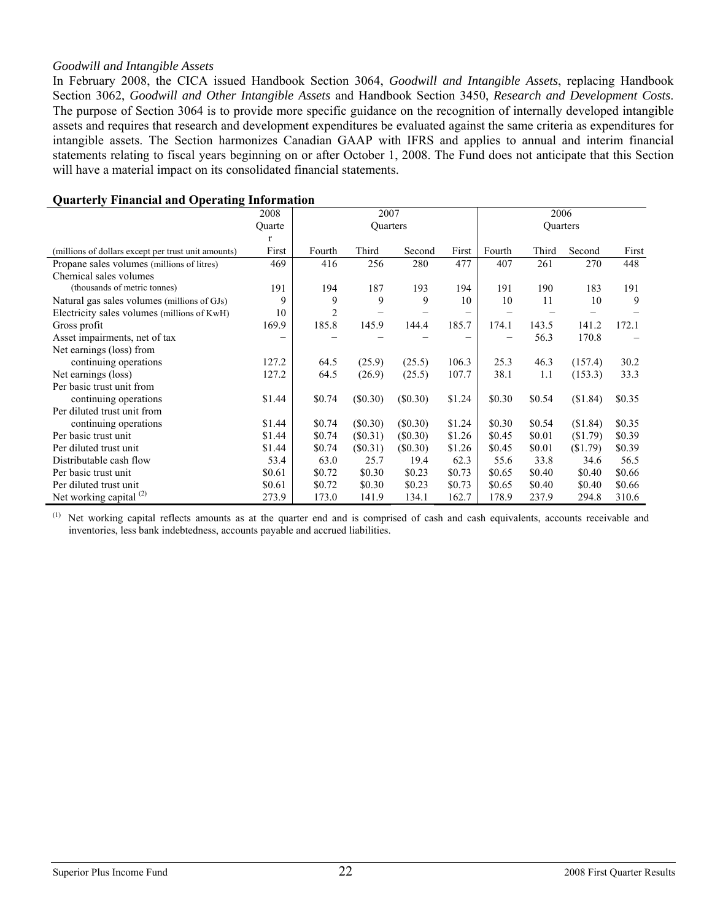#### *Goodwill and Intangible Assets*

In February 2008, the CICA issued Handbook Section 3064, *Goodwill and Intangible Assets*, replacing Handbook Section 3062, *Goodwill and Other Intangible Assets* and Handbook Section 3450, *Research and Development Costs*. The purpose of Section 3064 is to provide more specific guidance on the recognition of internally developed intangible assets and requires that research and development expenditures be evaluated against the same criteria as expenditures for intangible assets. The Section harmonizes Canadian GAAP with IFRS and applies to annual and interim financial statements relating to fiscal years beginning on or after October 1, 2008. The Fund does not anticipate that this Section will have a material impact on its consolidated financial statements.

|                                                     | 2008   |                | 2006       |            |        |        |          |          |        |
|-----------------------------------------------------|--------|----------------|------------|------------|--------|--------|----------|----------|--------|
|                                                     | Quarte |                | Quarters   |            |        |        | Quarters |          |        |
|                                                     | r      |                |            |            |        |        |          |          |        |
| (millions of dollars except per trust unit amounts) | First  | Fourth         | Third      | Second     | First  | Fourth | Third    | Second   | First  |
| Propane sales volumes (millions of litres)          | 469    | 416            | 256        | 280        | 477    | 407    | 261      | 270      | 448    |
| Chemical sales volumes                              |        |                |            |            |        |        |          |          |        |
| (thousands of metric tonnes)                        | 191    | 194            | 187        | 193        | 194    | 191    | 190      | 183      | 191    |
| Natural gas sales volumes (millions of GJs)         | 9      | 9              | 9          | 9          | 10     | 10     | 11       | 10       | 9      |
| Electricity sales volumes (millions of KwH)         | 10     | $\overline{2}$ |            |            |        |        |          |          |        |
| Gross profit                                        | 169.9  | 185.8          | 145.9      | 144.4      | 185.7  | 174.1  | 143.5    | 141.2    | 172.1  |
| Asset impairments, net of tax                       |        |                |            |            |        |        | 56.3     | 170.8    |        |
| Net earnings (loss) from                            |        |                |            |            |        |        |          |          |        |
| continuing operations                               | 127.2  | 64.5           | (25.9)     | (25.5)     | 106.3  | 25.3   | 46.3     | (157.4)  | 30.2   |
| Net earnings (loss)                                 | 127.2  | 64.5           | (26.9)     | (25.5)     | 107.7  | 38.1   | 1.1      | (153.3)  | 33.3   |
| Per basic trust unit from                           |        |                |            |            |        |        |          |          |        |
| continuing operations                               | \$1.44 | \$0.74         | (\$0.30)   | (\$0.30)   | \$1.24 | \$0.30 | \$0.54   | (\$1.84) | \$0.35 |
| Per diluted trust unit from                         |        |                |            |            |        |        |          |          |        |
| continuing operations                               | \$1.44 | \$0.74         | (S0.30)    | $(\$0.30)$ | \$1.24 | \$0.30 | \$0.54   | (\$1.84) | \$0.35 |
| Per basic trust unit                                | \$1.44 | \$0.74         | (S0.31)    | (S0.30)    | \$1.26 | \$0.45 | \$0.01   | (\$1.79) | \$0.39 |
| Per diluted trust unit                              | \$1.44 | \$0.74         | $(\$0.31)$ | (\$0.30)   | \$1.26 | \$0.45 | \$0.01   | (\$1.79) | \$0.39 |
| Distributable cash flow                             | 53.4   | 63.0           | 25.7       | 19.4       | 62.3   | 55.6   | 33.8     | 34.6     | 56.5   |
| Per basic trust unit                                | \$0.61 | \$0.72         | \$0.30     | \$0.23     | \$0.73 | \$0.65 | \$0.40   | \$0.40   | \$0.66 |
| Per diluted trust unit                              | \$0.61 | \$0.72         | \$0.30     | \$0.23     | \$0.73 | \$0.65 | \$0.40   | \$0.40   | \$0.66 |
| Net working capital $(2)$                           | 273.9  | 173.0          | 141.9      | 134.1      | 162.7  | 178.9  | 237.9    | 294.8    | 310.6  |

#### **Quarterly Financial and Operating Information**

(1) Net working capital reflects amounts as at the quarter end and is comprised of cash and cash equivalents, accounts receivable and inventories, less bank indebtedness, accounts payable and accrued liabilities.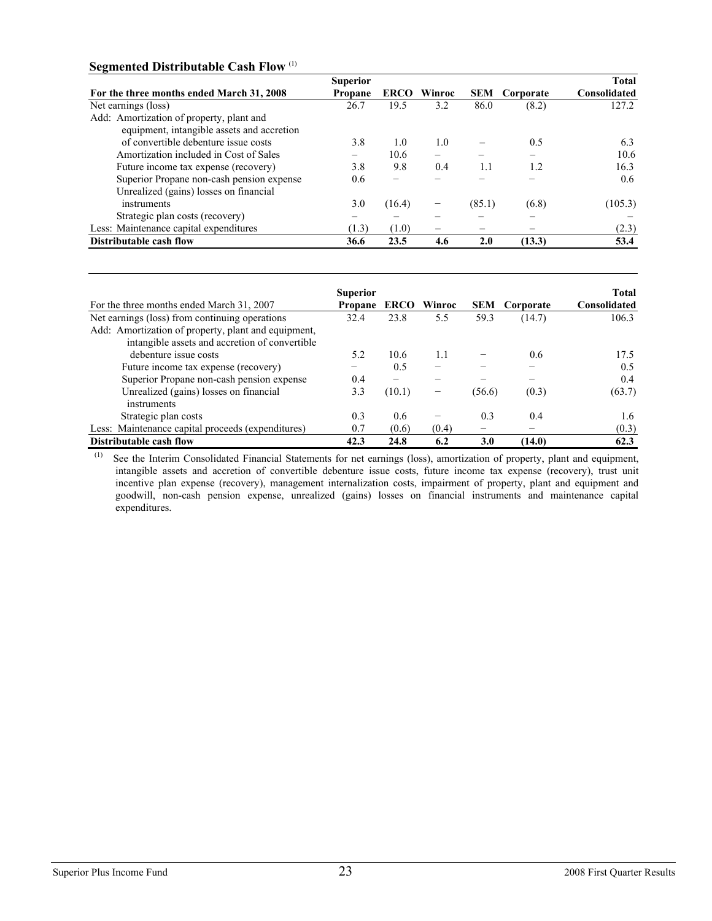## **Segmented Distributable Cash Flow** (1)

|                                            | <b>Superior</b> |             |        |            |           | <b>Total</b> |
|--------------------------------------------|-----------------|-------------|--------|------------|-----------|--------------|
| For the three months ended March 31, 2008  | Propane         | <b>ERCO</b> | Winroc | <b>SEM</b> | Corporate | Consolidated |
| Net earnings (loss)                        | 26.7            | 19.5        | 3.2    | 86.0       | (8.2)     | 127.2        |
| Add: Amortization of property, plant and   |                 |             |        |            |           |              |
| equipment, intangible assets and accretion |                 |             |        |            |           |              |
| of convertible debenture issue costs       | 3.8             | 1.0         | 1.0    |            | 0.5       | 6.3          |
| Amortization included in Cost of Sales     |                 | 10.6        |        |            |           | 10.6         |
| Future income tax expense (recovery)       | 3.8             | 9.8         | 0.4    | 1.1        | 1.2       | 16.3         |
| Superior Propane non-cash pension expense  | 0.6             |             |        |            |           | 0.6          |
| Unrealized (gains) losses on financial     |                 |             |        |            |           |              |
| instruments                                | 3.0             | (16.4)      | -      | (85.1)     | (6.8)     | (105.3)      |
| Strategic plan costs (recovery)            | —               |             |        |            | —         |              |
| Less: Maintenance capital expenditures     | (1.3)           | (1.0)       |        |            |           | (2.3)        |
| Distributable cash flow                    | 36.6            | 23.5        | 4.6    | 2.0        | (13.3)    | 53.4         |

|                                                     | <b>Superior</b> |             |        |            |           | <b>Total</b> |
|-----------------------------------------------------|-----------------|-------------|--------|------------|-----------|--------------|
| For the three months ended March 31, 2007           | Propane         | <b>ERCO</b> | Winroc | <b>SEM</b> | Corporate | Consolidated |
| Net earnings (loss) from continuing operations      | 32.4            | 23.8        | 5.5    | 59.3       | (14.7)    | 106.3        |
| Add: Amortization of property, plant and equipment, |                 |             |        |            |           |              |
| intangible assets and accretion of convertible      |                 |             |        |            |           |              |
| debenture issue costs                               | 5.2             | 10.6        | 1.1    |            | 0.6       | 17.5         |
| Future income tax expense (recovery)                |                 | 0.5         |        |            |           | 0.5          |
| Superior Propane non-cash pension expense           | 0.4             | -           |        |            | -         | 0.4          |
| Unrealized (gains) losses on financial              | 3.3             | (10.1)      |        | (56.6)     | (0.3)     | (63.7)       |
| instruments                                         |                 |             |        |            |           |              |
| Strategic plan costs                                | 0.3             | 0.6         |        | 0.3        | 0.4       | 1.6          |
| Less: Maintenance capital proceeds (expenditures)   | 0.7             | (0.6)       | (0.4)  |            |           | (0.3)        |
| Distributable cash flow                             | 42.3            | 24.8        | 6.2    | <b>3.0</b> | (14.0)    | 62.3         |

 (1) See the Interim Consolidated Financial Statements for net earnings (loss), amortization of property, plant and equipment, intangible assets and accretion of convertible debenture issue costs, future income tax expense (recovery), trust unit incentive plan expense (recovery), management internalization costs, impairment of property, plant and equipment and goodwill, non-cash pension expense, unrealized (gains) losses on financial instruments and maintenance capital expenditures.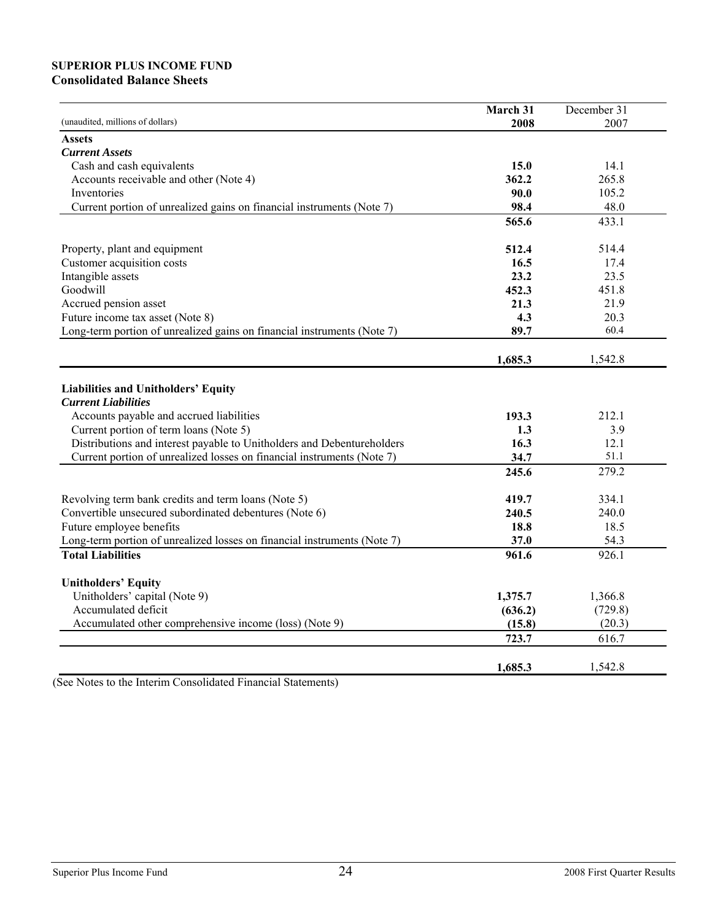## **SUPERIOR PLUS INCOME FUND Consolidated Balance Sheets**

|                                                                          | March 31 | December 31 |
|--------------------------------------------------------------------------|----------|-------------|
| (unaudited, millions of dollars)                                         | 2008     | 2007        |
| <b>Assets</b>                                                            |          |             |
| <b>Current Assets</b>                                                    |          |             |
| Cash and cash equivalents                                                | 15.0     | 14.1        |
| Accounts receivable and other (Note 4)                                   | 362.2    | 265.8       |
| Inventories                                                              | 90.0     | 105.2       |
| Current portion of unrealized gains on financial instruments (Note 7)    | 98.4     | 48.0        |
|                                                                          | 565.6    | 433.1       |
|                                                                          |          |             |
| Property, plant and equipment                                            | 512.4    | 514.4       |
| Customer acquisition costs                                               | 16.5     | 17.4        |
| Intangible assets                                                        | 23.2     | 23.5        |
| Goodwill                                                                 | 452.3    | 451.8       |
| Accrued pension asset                                                    | 21.3     | 21.9        |
| Future income tax asset (Note 8)                                         | 4.3      | 20.3        |
| Long-term portion of unrealized gains on financial instruments (Note 7)  | 89.7     | 60.4        |
|                                                                          |          |             |
|                                                                          | 1,685.3  | 1,542.8     |
|                                                                          |          |             |
| Liabilities and Unitholders' Equity                                      |          |             |
| <b>Current Liabilities</b>                                               |          |             |
| Accounts payable and accrued liabilities                                 | 193.3    | 212.1       |
| Current portion of term loans (Note 5)                                   | 1.3      | 3.9         |
| Distributions and interest payable to Unitholders and Debentureholders   | 16.3     | 12.1        |
| Current portion of unrealized losses on financial instruments (Note 7)   | 34.7     | 51.1        |
|                                                                          | 245.6    | 279.2       |
| Revolving term bank credits and term loans (Note 5)                      | 419.7    | 334.1       |
| Convertible unsecured subordinated debentures (Note 6)                   | 240.5    | 240.0       |
| Future employee benefits                                                 | 18.8     | 18.5        |
| Long-term portion of unrealized losses on financial instruments (Note 7) | 37.0     | 54.3        |
| <b>Total Liabilities</b>                                                 | 961.6    | 926.1       |
|                                                                          |          |             |
| <b>Unitholders' Equity</b>                                               |          |             |
| Unitholders' capital (Note 9)                                            | 1,375.7  | 1,366.8     |
| Accumulated deficit                                                      | (636.2)  | (729.8)     |
| Accumulated other comprehensive income (loss) (Note 9)                   | (15.8)   | (20.3)      |
|                                                                          | 723.7    | 616.7       |
|                                                                          |          |             |
|                                                                          | 1,685.3  | 1,542.8     |

(See Notes to the Interim Consolidated Financial Statements)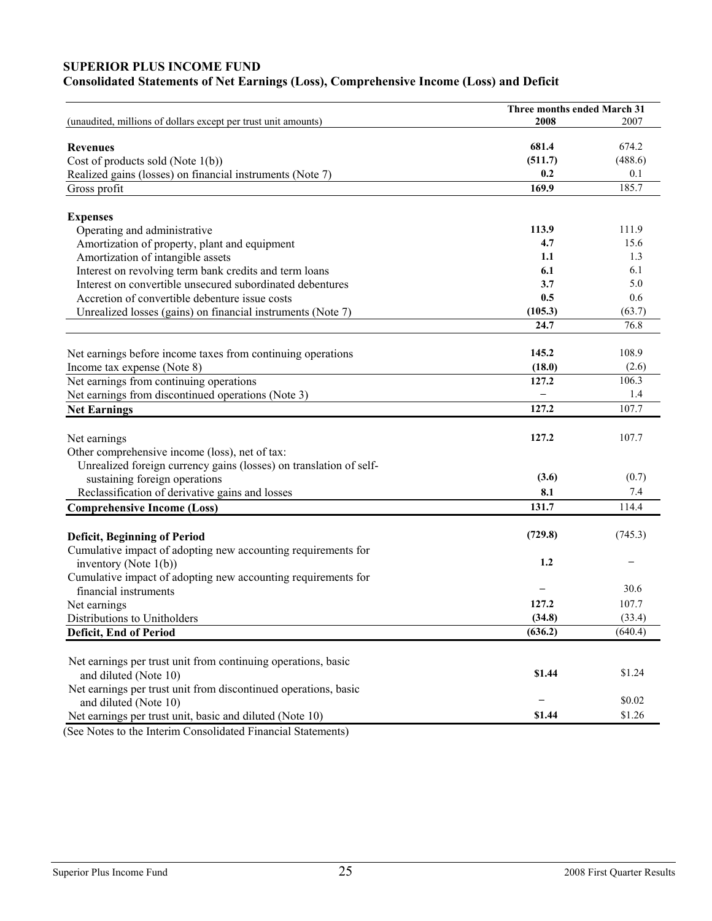# **SUPERIOR PLUS INCOME FUND**

|                                                                        | Three months ended March 31 |                |
|------------------------------------------------------------------------|-----------------------------|----------------|
| (unaudited, millions of dollars except per trust unit amounts)         | 2008                        | 2007           |
| <b>Revenues</b>                                                        | 681.4                       | 674.2          |
| Cost of products sold (Note 1(b))                                      | (511.7)                     | (488.6)        |
| Realized gains (losses) on financial instruments (Note 7)              | 0.2                         | 0.1            |
| Gross profit                                                           | 169.9                       | 185.7          |
|                                                                        |                             |                |
| <b>Expenses</b>                                                        |                             |                |
| Operating and administrative                                           | 113.9                       | 111.9          |
| Amortization of property, plant and equipment                          | 4.7                         | 15.6           |
| Amortization of intangible assets                                      | 1.1                         | 1.3            |
| Interest on revolving term bank credits and term loans                 | 6.1                         | 6.1            |
| Interest on convertible unsecured subordinated debentures              | 3.7                         | 5.0            |
| Accretion of convertible debenture issue costs                         | 0.5                         | 0.6            |
| Unrealized losses (gains) on financial instruments (Note 7)            | (105.3)                     | (63.7)         |
|                                                                        | 24.7                        | 76.8           |
|                                                                        | 145.2                       | 108.9          |
| Net earnings before income taxes from continuing operations            | (18.0)                      |                |
| Income tax expense (Note 8)<br>Net earnings from continuing operations | 127.2                       | (2.6)<br>106.3 |
|                                                                        |                             | 1.4            |
| Net earnings from discontinued operations (Note 3)                     | 127.2                       | 107.7          |
| <b>Net Earnings</b>                                                    |                             |                |
| Net earnings                                                           | 127.2                       | 107.7          |
| Other comprehensive income (loss), net of tax:                         |                             |                |
| Unrealized foreign currency gains (losses) on translation of self-     |                             |                |
| sustaining foreign operations                                          | (3.6)                       | (0.7)          |
| Reclassification of derivative gains and losses                        | 8.1                         | 7.4            |
| <b>Comprehensive Income (Loss)</b>                                     | 131.7                       | 114.4          |
|                                                                        |                             |                |
| <b>Deficit, Beginning of Period</b>                                    | (729.8)                     | (745.3)        |
| Cumulative impact of adopting new accounting requirements for          |                             |                |
| inventory (Note $1(b)$ )                                               | 1.2                         |                |
| Cumulative impact of adopting new accounting requirements for          |                             |                |
| financial instruments                                                  |                             | 30.6           |
| Net earnings                                                           | 127.2                       | 107.7          |
| Distributions to Unitholders                                           | (34.8)                      | (33.4)         |
| Deficit, End of Period                                                 | (636.2)                     | (640.4)        |
| Net earnings per trust unit from continuing operations, basic          |                             |                |
| and diluted (Note 10)                                                  | \$1.44                      | \$1.24         |
| Net earnings per trust unit from discontinued operations, basic        |                             |                |
| and diluted (Note 10)                                                  |                             | \$0.02         |
| Net earnings per trust unit, basic and diluted (Note 10)               | \$1.44                      | \$1.26         |
|                                                                        |                             |                |

(See Notes to the Interim Consolidated Financial Statements)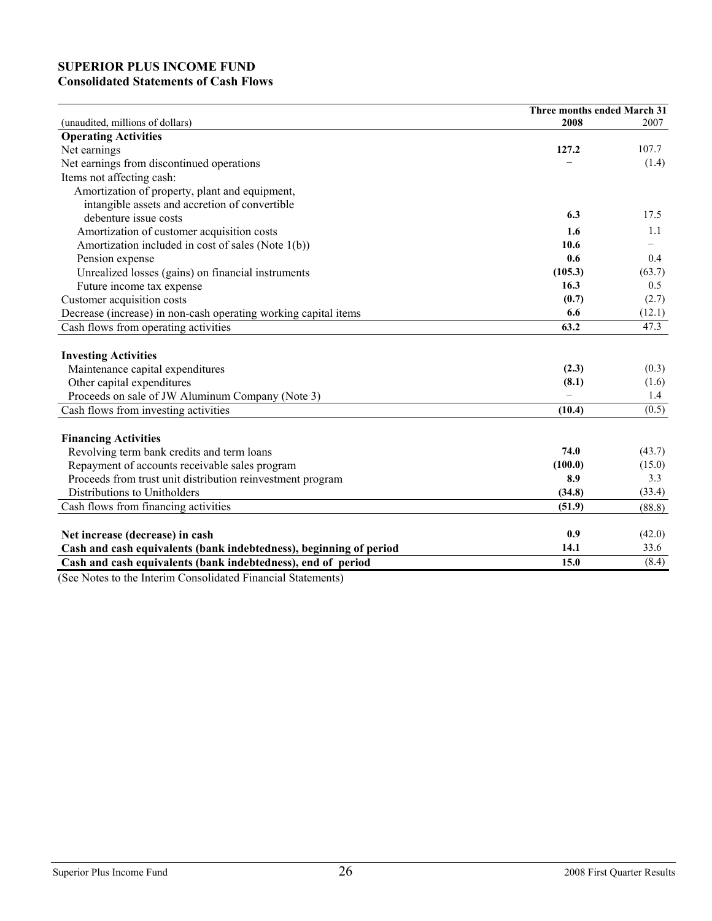# **SUPERIOR PLUS INCOME FUND Consolidated Statements of Cash Flows**

|                                                                                                                                                                                                                            | Three months ended March 31 |        |
|----------------------------------------------------------------------------------------------------------------------------------------------------------------------------------------------------------------------------|-----------------------------|--------|
| (unaudited, millions of dollars)                                                                                                                                                                                           | 2008                        | 2007   |
| <b>Operating Activities</b>                                                                                                                                                                                                |                             |        |
| Net earnings                                                                                                                                                                                                               | 127.2                       | 107.7  |
| Net earnings from discontinued operations                                                                                                                                                                                  |                             | (1.4)  |
| Items not affecting cash:                                                                                                                                                                                                  |                             |        |
| Amortization of property, plant and equipment,                                                                                                                                                                             |                             |        |
| intangible assets and accretion of convertible                                                                                                                                                                             |                             |        |
| debenture issue costs                                                                                                                                                                                                      | 6.3                         | 17.5   |
| Amortization of customer acquisition costs                                                                                                                                                                                 | 1.6                         | 1.1    |
| Amortization included in cost of sales (Note 1(b))                                                                                                                                                                         | 10.6                        |        |
| Pension expense                                                                                                                                                                                                            | 0.6                         | 0.4    |
| Unrealized losses (gains) on financial instruments                                                                                                                                                                         | (105.3)                     | (63.7) |
| Future income tax expense                                                                                                                                                                                                  | 16.3                        | 0.5    |
| Customer acquisition costs                                                                                                                                                                                                 | (0.7)                       | (2.7)  |
| Decrease (increase) in non-cash operating working capital items                                                                                                                                                            | 6.6                         | (12.1) |
| Cash flows from operating activities                                                                                                                                                                                       | 63.2                        | 47.3   |
| <b>Investing Activities</b>                                                                                                                                                                                                |                             |        |
| Maintenance capital expenditures                                                                                                                                                                                           | (2.3)                       | (0.3)  |
| Other capital expenditures                                                                                                                                                                                                 | (8.1)                       | (1.6)  |
| Proceeds on sale of JW Aluminum Company (Note 3)                                                                                                                                                                           |                             | 1.4    |
| Cash flows from investing activities                                                                                                                                                                                       | (10.4)                      | (0.5)  |
| <b>Financing Activities</b>                                                                                                                                                                                                |                             |        |
| Revolving term bank credits and term loans                                                                                                                                                                                 | 74.0                        | (43.7) |
| Repayment of accounts receivable sales program                                                                                                                                                                             | (100.0)                     | (15.0) |
| Proceeds from trust unit distribution reinvestment program                                                                                                                                                                 | 8.9                         | 3.3    |
| Distributions to Unitholders                                                                                                                                                                                               | (34.8)                      | (33.4) |
| Cash flows from financing activities                                                                                                                                                                                       | (51.9)                      | (88.8) |
|                                                                                                                                                                                                                            |                             |        |
| Net increase (decrease) in cash                                                                                                                                                                                            | 0.9                         | (42.0) |
| Cash and cash equivalents (bank indebtedness), beginning of period                                                                                                                                                         | 14.1                        | 33.6   |
| Cash and cash equivalents (bank indebtedness), end of period<br>$\mathbf{u}$ $\mathbf{v}$ $\mathbf{v}$ $\mathbf{v}$ $\mathbf{v}$ $\mathbf{v}$ $\mathbf{v}$ $\mathbf{v}$ $\mathbf{v}$ $\mathbf{v}$ $\mathbf{v}$<br>$\cdots$ | 15.0                        | (8.4)  |

(See Notes to the Interim Consolidated Financial Statements)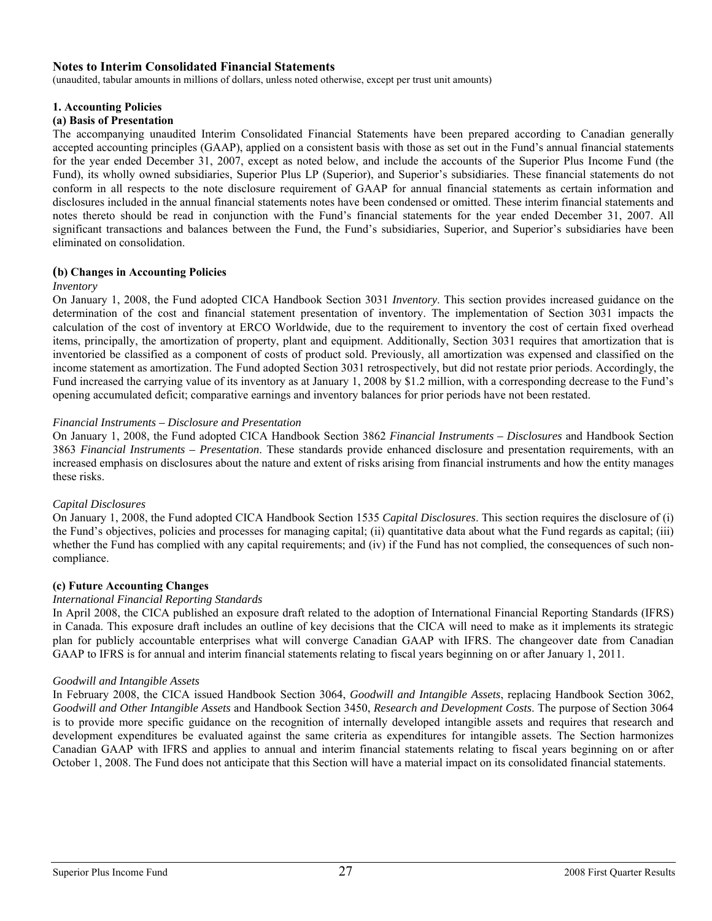#### **Notes to Interim Consolidated Financial Statements**

(unaudited, tabular amounts in millions of dollars, unless noted otherwise, except per trust unit amounts)

#### **1. Accounting Policies**

#### **(a) Basis of Presentation**

The accompanying unaudited Interim Consolidated Financial Statements have been prepared according to Canadian generally accepted accounting principles (GAAP), applied on a consistent basis with those as set out in the Fund's annual financial statements for the year ended December 31, 2007, except as noted below, and include the accounts of the Superior Plus Income Fund (the Fund), its wholly owned subsidiaries, Superior Plus LP (Superior), and Superior's subsidiaries. These financial statements do not conform in all respects to the note disclosure requirement of GAAP for annual financial statements as certain information and disclosures included in the annual financial statements notes have been condensed or omitted. These interim financial statements and notes thereto should be read in conjunction with the Fund's financial statements for the year ended December 31, 2007. All significant transactions and balances between the Fund, the Fund's subsidiaries, Superior, and Superior's subsidiaries have been eliminated on consolidation.

#### **(b) Changes in Accounting Policies**

#### *Inventory*

On January 1, 2008, the Fund adopted CICA Handbook Section 3031 *Inventory*. This section provides increased guidance on the determination of the cost and financial statement presentation of inventory. The implementation of Section 3031 impacts the calculation of the cost of inventory at ERCO Worldwide, due to the requirement to inventory the cost of certain fixed overhead items, principally, the amortization of property, plant and equipment. Additionally, Section 3031 requires that amortization that is inventoried be classified as a component of costs of product sold. Previously, all amortization was expensed and classified on the income statement as amortization. The Fund adopted Section 3031 retrospectively, but did not restate prior periods. Accordingly, the Fund increased the carrying value of its inventory as at January 1, 2008 by \$1.2 million, with a corresponding decrease to the Fund's opening accumulated deficit; comparative earnings and inventory balances for prior periods have not been restated.

#### *Financial Instruments – Disclosure and Presentation*

On January 1, 2008, the Fund adopted CICA Handbook Section 3862 *Financial Instruments – Disclosures* and Handbook Section 3863 *Financial Instruments – Presentation*. These standards provide enhanced disclosure and presentation requirements, with an increased emphasis on disclosures about the nature and extent of risks arising from financial instruments and how the entity manages these risks.

#### *Capital Disclosures*

On January 1, 2008, the Fund adopted CICA Handbook Section 1535 *Capital Disclosures*. This section requires the disclosure of (i) the Fund's objectives, policies and processes for managing capital; (ii) quantitative data about what the Fund regards as capital; (iii) whether the Fund has complied with any capital requirements; and (iv) if the Fund has not complied, the consequences of such noncompliance.

#### **(c) Future Accounting Changes**

#### *International Financial Reporting Standards*

In April 2008, the CICA published an exposure draft related to the adoption of International Financial Reporting Standards (IFRS) in Canada. This exposure draft includes an outline of key decisions that the CICA will need to make as it implements its strategic plan for publicly accountable enterprises what will converge Canadian GAAP with IFRS. The changeover date from Canadian GAAP to IFRS is for annual and interim financial statements relating to fiscal years beginning on or after January 1, 2011.

#### *Goodwill and Intangible Assets*

In February 2008, the CICA issued Handbook Section 3064, *Goodwill and Intangible Assets*, replacing Handbook Section 3062, *Goodwill and Other Intangible Assets* and Handbook Section 3450, *Research and Development Costs*. The purpose of Section 3064 is to provide more specific guidance on the recognition of internally developed intangible assets and requires that research and development expenditures be evaluated against the same criteria as expenditures for intangible assets. The Section harmonizes Canadian GAAP with IFRS and applies to annual and interim financial statements relating to fiscal years beginning on or after October 1, 2008. The Fund does not anticipate that this Section will have a material impact on its consolidated financial statements.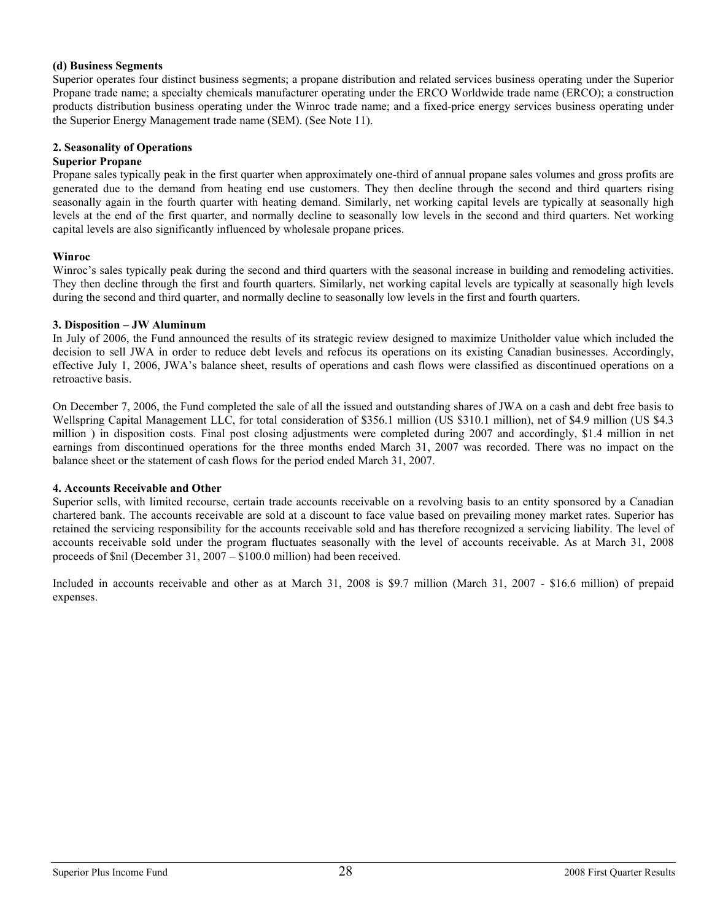#### **(d) Business Segments**

Superior operates four distinct business segments; a propane distribution and related services business operating under the Superior Propane trade name; a specialty chemicals manufacturer operating under the ERCO Worldwide trade name (ERCO); a construction products distribution business operating under the Winroc trade name; and a fixed-price energy services business operating under the Superior Energy Management trade name (SEM). (See Note 11).

#### **2. Seasonality of Operations**

#### **Superior Propane**

Propane sales typically peak in the first quarter when approximately one-third of annual propane sales volumes and gross profits are generated due to the demand from heating end use customers. They then decline through the second and third quarters rising seasonally again in the fourth quarter with heating demand. Similarly, net working capital levels are typically at seasonally high levels at the end of the first quarter, and normally decline to seasonally low levels in the second and third quarters. Net working capital levels are also significantly influenced by wholesale propane prices.

#### **Winroc**

Winroc's sales typically peak during the second and third quarters with the seasonal increase in building and remodeling activities. They then decline through the first and fourth quarters. Similarly, net working capital levels are typically at seasonally high levels during the second and third quarter, and normally decline to seasonally low levels in the first and fourth quarters.

#### **3. Disposition – JW Aluminum**

In July of 2006, the Fund announced the results of its strategic review designed to maximize Unitholder value which included the decision to sell JWA in order to reduce debt levels and refocus its operations on its existing Canadian businesses. Accordingly, effective July 1, 2006, JWA's balance sheet, results of operations and cash flows were classified as discontinued operations on a retroactive basis.

On December 7, 2006, the Fund completed the sale of all the issued and outstanding shares of JWA on a cash and debt free basis to Wellspring Capital Management LLC, for total consideration of \$356.1 million (US \$310.1 million), net of \$4.9 million (US \$4.3 million ) in disposition costs. Final post closing adjustments were completed during 2007 and accordingly, \$1.4 million in net earnings from discontinued operations for the three months ended March 31, 2007 was recorded. There was no impact on the balance sheet or the statement of cash flows for the period ended March 31, 2007.

#### **4. Accounts Receivable and Other**

Superior sells, with limited recourse, certain trade accounts receivable on a revolving basis to an entity sponsored by a Canadian chartered bank. The accounts receivable are sold at a discount to face value based on prevailing money market rates. Superior has retained the servicing responsibility for the accounts receivable sold and has therefore recognized a servicing liability. The level of accounts receivable sold under the program fluctuates seasonally with the level of accounts receivable. As at March 31, 2008 proceeds of \$nil (December 31, 2007 – \$100.0 million) had been received.

Included in accounts receivable and other as at March 31, 2008 is \$9.7 million (March 31, 2007 - \$16.6 million) of prepaid expenses.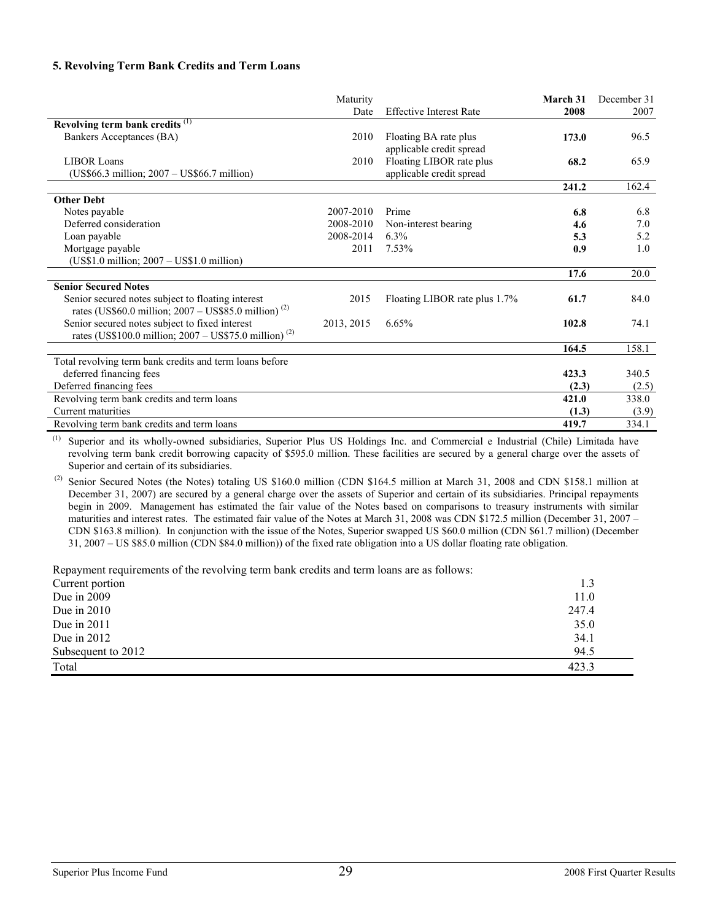#### **5. Revolving Term Bank Credits and Term Loans**

|                                                                                                                        | Maturity   | <b>Effective Interest Rate</b>                       | March 31 | December 31 |
|------------------------------------------------------------------------------------------------------------------------|------------|------------------------------------------------------|----------|-------------|
| Revolving term bank credits <sup>(1)</sup>                                                                             | Date       |                                                      | 2008     | 2007        |
| Bankers Acceptances (BA)                                                                                               | 2010       | Floating BA rate plus<br>applicable credit spread    | 173.0    | 96.5        |
| <b>LIBOR Loans</b><br>$(US$66.3 million; 2007 - US$66.7 million)$                                                      | 2010       | Floating LIBOR rate plus<br>applicable credit spread | 68.2     | 65.9        |
|                                                                                                                        |            |                                                      | 241.2    | 162.4       |
| <b>Other Debt</b>                                                                                                      |            |                                                      |          |             |
| Notes payable                                                                                                          | 2007-2010  | Prime                                                | 6.8      | 6.8         |
| Deferred consideration                                                                                                 | 2008-2010  | Non-interest bearing                                 | 4.6      | 7.0         |
| Loan payable                                                                                                           | 2008-2014  | 6.3%                                                 | 5.3      | 5.2         |
| Mortgage payable                                                                                                       | 2011       | 7.53%                                                | 0.9      | 1.0         |
| $(US$1.0 million; 2007 – US$1.0 million)$                                                                              |            |                                                      |          |             |
|                                                                                                                        |            |                                                      | 17.6     | 20.0        |
| <b>Senior Secured Notes</b>                                                                                            |            |                                                      |          |             |
| Senior secured notes subject to floating interest<br>rates (US\$60.0 million; $2007 - US$85.0$ million) <sup>(2)</sup> | 2015       | Floating LIBOR rate plus 1.7%                        | 61.7     | 84.0        |
| Senior secured notes subject to fixed interest<br>rates (US\$100.0 million; $2007 - US$75.0$ million) <sup>(2)</sup>   | 2013, 2015 | 6.65%                                                | 102.8    | 74.1        |
|                                                                                                                        |            |                                                      | 164.5    | 158.1       |
| Total revolving term bank credits and term loans before                                                                |            |                                                      |          |             |
| deferred financing fees                                                                                                |            |                                                      | 423.3    | 340.5       |
| Deferred financing fees                                                                                                |            |                                                      | (2.3)    | (2.5)       |
| Revolving term bank credits and term loans                                                                             |            |                                                      | 421.0    | 338.0       |
| Current maturities                                                                                                     |            |                                                      | (1.3)    | (3.9)       |
| Revolving term bank credits and term loans                                                                             |            |                                                      | 419.7    | 334.1       |

(1) Superior and its wholly-owned subsidiaries, Superior Plus US Holdings Inc. and Commercial e Industrial (Chile) Limitada have revolving term bank credit borrowing capacity of \$595.0 million. These facilities are secured by a general charge over the assets of Superior and certain of its subsidiaries.

 (2) Senior Secured Notes (the Notes) totaling US \$160.0 million (CDN \$164.5 million at March 31, 2008 and CDN \$158.1 million at December 31, 2007) are secured by a general charge over the assets of Superior and certain of its subsidiaries. Principal repayments begin in 2009. Management has estimated the fair value of the Notes based on comparisons to treasury instruments with similar maturities and interest rates. The estimated fair value of the Notes at March 31, 2008 was CDN \$172.5 million (December 31, 2007 – CDN \$163.8 million). In conjunction with the issue of the Notes, Superior swapped US \$60.0 million (CDN \$61.7 million) (December 31, 2007 – US \$85.0 million (CDN \$84.0 million)) of the fixed rate obligation into a US dollar floating rate obligation.

Repayment requirements of the revolving term bank credits and term loans are as follows:

| Trepayment requirements of the revolving term officially them term found are as follows. |       |
|------------------------------------------------------------------------------------------|-------|
| Current portion                                                                          | 1.3   |
| Due in $2009$                                                                            | 11.0  |
| Due in $2010$                                                                            | 247.4 |
| Due in $2011$                                                                            | 35.0  |
| Due in $2012$                                                                            | 34.1  |
| Subsequent to 2012                                                                       | 94.5  |
| Total                                                                                    | 423.3 |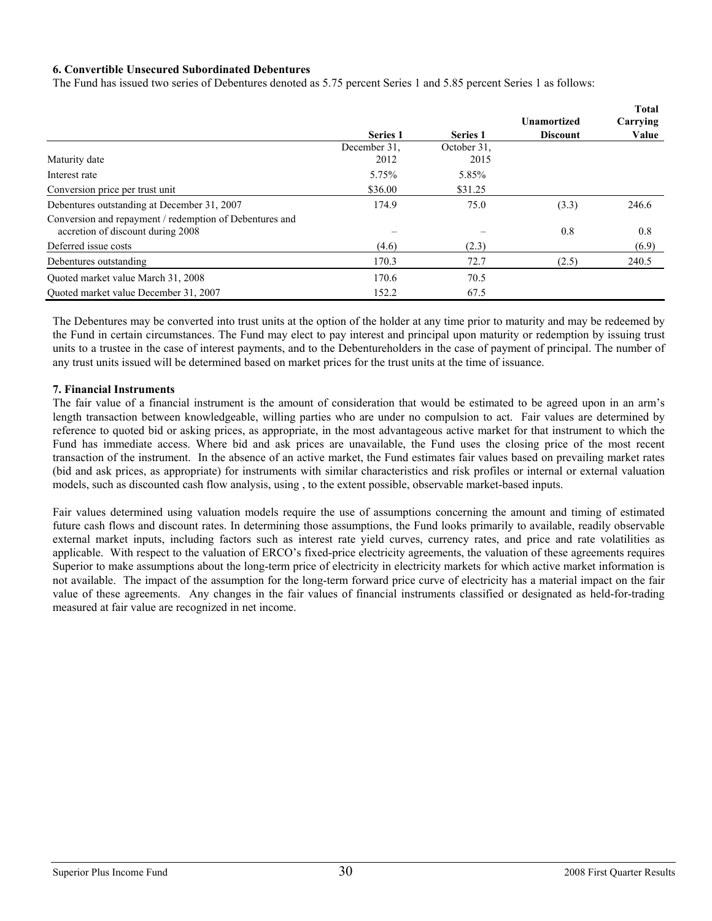#### **6. Convertible Unsecured Subordinated Debentures**

The Fund has issued two series of Debentures denoted as 5.75 percent Series 1 and 5.85 percent Series 1 as follows:

|                                                         |                 |                 | <b>Unamortized</b> | <b>Total</b><br>Carrying |
|---------------------------------------------------------|-----------------|-----------------|--------------------|--------------------------|
|                                                         | <b>Series 1</b> | <b>Series 1</b> | <b>Discount</b>    | Value                    |
|                                                         | December 31.    | October 31.     |                    |                          |
| Maturity date                                           | 2012            | 2015            |                    |                          |
| Interest rate                                           | 5.75%           | 5.85%           |                    |                          |
| Conversion price per trust unit                         | \$36.00         | \$31.25         |                    |                          |
| Debentures outstanding at December 31, 2007             | 174.9           | 75.0            | (3.3)              | 246.6                    |
| Conversion and repayment / redemption of Debentures and |                 |                 |                    |                          |
| accretion of discount during 2008                       |                 |                 | 0.8                | 0.8                      |
| Deferred issue costs                                    | (4.6)           | (2.3)           |                    | (6.9)                    |
| Debentures outstanding                                  | 170.3           | 72.7            | (2.5)              | 240.5                    |
| Ouoted market value March 31, 2008                      | 170.6           | 70.5            |                    |                          |
| Ouoted market value December 31, 2007                   | 152.2           | 67.5            |                    |                          |

The Debentures may be converted into trust units at the option of the holder at any time prior to maturity and may be redeemed by the Fund in certain circumstances. The Fund may elect to pay interest and principal upon maturity or redemption by issuing trust units to a trustee in the case of interest payments, and to the Debentureholders in the case of payment of principal. The number of any trust units issued will be determined based on market prices for the trust units at the time of issuance.

#### **7. Financial Instruments**

The fair value of a financial instrument is the amount of consideration that would be estimated to be agreed upon in an arm's length transaction between knowledgeable, willing parties who are under no compulsion to act. Fair values are determined by reference to quoted bid or asking prices, as appropriate, in the most advantageous active market for that instrument to which the Fund has immediate access. Where bid and ask prices are unavailable, the Fund uses the closing price of the most recent transaction of the instrument. In the absence of an active market, the Fund estimates fair values based on prevailing market rates (bid and ask prices, as appropriate) for instruments with similar characteristics and risk profiles or internal or external valuation models, such as discounted cash flow analysis, using , to the extent possible, observable market-based inputs.

Fair values determined using valuation models require the use of assumptions concerning the amount and timing of estimated future cash flows and discount rates. In determining those assumptions, the Fund looks primarily to available, readily observable external market inputs, including factors such as interest rate yield curves, currency rates, and price and rate volatilities as applicable. With respect to the valuation of ERCO's fixed-price electricity agreements, the valuation of these agreements requires Superior to make assumptions about the long-term price of electricity in electricity markets for which active market information is not available. The impact of the assumption for the long-term forward price curve of electricity has a material impact on the fair value of these agreements. Any changes in the fair values of financial instruments classified or designated as held-for-trading measured at fair value are recognized in net income.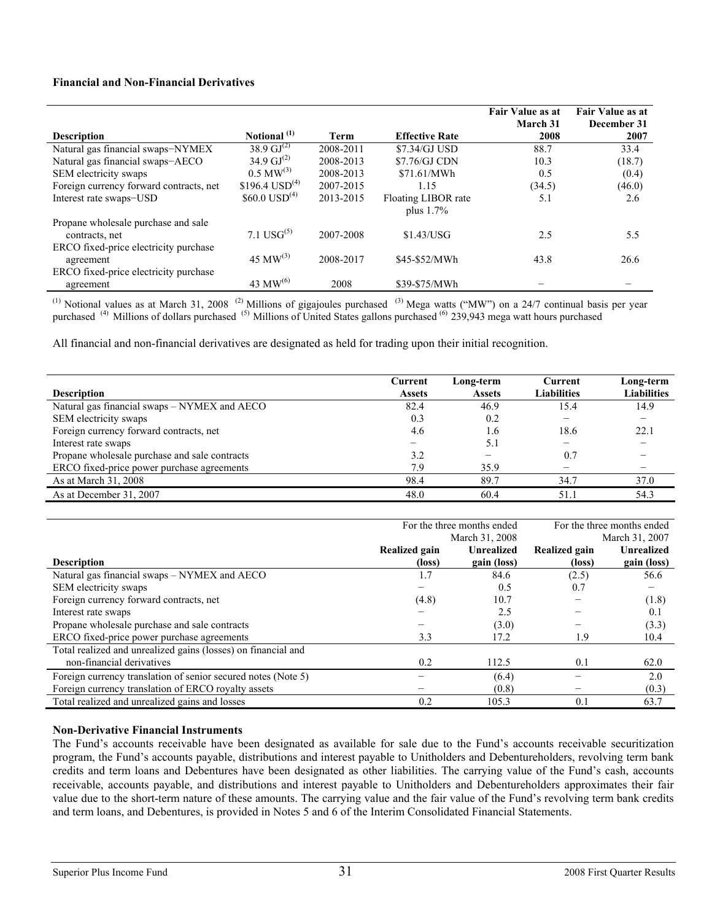#### **Financial and Non-Financial Derivatives**

|                                                    |                             |           |                                     | Fair Value as at<br><b>March 31</b> | Fair Value as at<br>December 31 |
|----------------------------------------------------|-----------------------------|-----------|-------------------------------------|-------------------------------------|---------------------------------|
| <b>Description</b>                                 | Notional <sup>(1)</sup>     | Term      | <b>Effective Rate</b>               | 2008                                | 2007                            |
| Natural gas financial swaps-NYMEX                  | 38.9 $GI^{(2)}$             | 2008-2011 | \$7.34/GJ USD                       | 88.7                                | 33.4                            |
| Natural gas financial swaps-AECO                   | 34.9 $\mathrm{GJ}^{(2)}$    | 2008-2013 | \$7.76/GJ CDN                       | 10.3                                | (18.7)                          |
| SEM electricity swaps                              | $0.5 \text{ MW}^{(3)}$      | 2008-2013 | \$71.61/MWh                         | 0.5                                 | (0.4)                           |
| Foreign currency forward contracts, net            | $$196.4$ USD <sup>(4)</sup> | 2007-2015 | 1.15                                | (34.5)                              | (46.0)                          |
| Interest rate swaps-USD                            | $$60.0$ USD <sup>(4)</sup>  | 2013-2015 | Floating LIBOR rate<br>plus $1.7\%$ | 5.1                                 | 2.6                             |
| Propane wholesale purchase and sale                |                             |           |                                     |                                     |                                 |
| contracts, net                                     | 7.1 $USG^{(5)}$             | 2007-2008 | \$1.43/USG                          | 2.5                                 | 5.5                             |
| ERCO fixed-price electricity purchase<br>agreement | 45 MW <sup>(3)</sup>        | 2008-2017 | \$45-\$52/MWh                       | 43.8                                | 26.6                            |
| ERCO fixed-price electricity purchase              |                             |           |                                     |                                     |                                 |
| agreement                                          | 43 MW $^{(6)}$              | 2008      | \$39-\$75/MWh                       |                                     |                                 |

<sup>(1)</sup> Notional values as at March 31, 2008<sup> $(2)$ </sup> Millions of gigajoules purchased  $(3)$  Mega watts ("MW") on a 24/7 continual basis per year purchased <sup>(4)</sup> Millions of dollars purchased <sup>(5)</sup> Millions of United States gallons purchased <sup>(6)</sup> 239,943 mega watt hours purchased

All financial and non-financial derivatives are designated as held for trading upon their initial recognition.

| <b>Description</b>                            | Current<br><b>Assets</b> | Long-term<br><b>Assets</b> | Current<br><b>Liabilities</b> | Long-term<br><b>Liabilities</b> |
|-----------------------------------------------|--------------------------|----------------------------|-------------------------------|---------------------------------|
| Natural gas financial swaps – NYMEX and AECO  | 82.4                     | 46.9                       | 15.4                          | 14.9                            |
| SEM electricity swaps                         | 0.3                      | 0.2                        |                               |                                 |
| Foreign currency forward contracts, net       | 4.6                      | 1.6                        | 18.6                          | 22.1                            |
| Interest rate swaps                           |                          | 5.1                        |                               |                                 |
| Propane wholesale purchase and sale contracts | 3.2                      | $\overline{\phantom{0}}$   | 0.7                           |                                 |
| ERCO fixed-price power purchase agreements    | 7.9                      | 35.9                       |                               |                                 |
| As at March 31, 2008                          | 98.4                     | 89.7                       | 34.7                          | 37.0                            |
| As at December 31, 2007                       | 48.0                     | 60.4                       | 51.1                          | 54.3                            |

|                                                               |               | For the three months ended | For the three months ended |                   |  |
|---------------------------------------------------------------|---------------|----------------------------|----------------------------|-------------------|--|
|                                                               |               | March 31, 2008             | March 31, 2007             |                   |  |
|                                                               | Realized gain | <b>Unrealized</b>          | Realized gain              | <b>Unrealized</b> |  |
| <b>Description</b>                                            | (loss)        | gain (loss)                | (loss)                     | gain (loss)       |  |
| Natural gas financial swaps - NYMEX and AECO                  | 1.7           | 84.6                       | (2.5)                      | 56.6              |  |
| SEM electricity swaps                                         |               | 0.5                        | 0.7                        |                   |  |
| Foreign currency forward contracts, net                       | (4.8)         | 10.7                       |                            | (1.8)             |  |
| Interest rate swaps                                           |               | 2.5                        |                            | 0.1               |  |
| Propane wholesale purchase and sale contracts                 |               | (3.0)                      |                            | (3.3)             |  |
| ERCO fixed-price power purchase agreements                    | 3.3           | 17.2                       | 1.9                        | 10.4              |  |
| Total realized and unrealized gains (losses) on financial and |               |                            |                            |                   |  |
| non-financial derivatives                                     | 0.2           | 112.5                      | 0.1                        | 62.0              |  |
| Foreign currency translation of senior secured notes (Note 5) |               | (6.4)                      |                            | 2.0               |  |
| Foreign currency translation of ERCO royalty assets           |               | (0.8)                      |                            | (0.3)             |  |
| Total realized and unrealized gains and losses                | 0.2           | 105.3                      | 0.1                        | 63.7              |  |

#### **Non-Derivative Financial Instruments**

The Fund's accounts receivable have been designated as available for sale due to the Fund's accounts receivable securitization program, the Fund's accounts payable, distributions and interest payable to Unitholders and Debentureholders, revolving term bank credits and term loans and Debentures have been designated as other liabilities. The carrying value of the Fund's cash, accounts receivable, accounts payable, and distributions and interest payable to Unitholders and Debentureholders approximates their fair value due to the short-term nature of these amounts. The carrying value and the fair value of the Fund's revolving term bank credits and term loans, and Debentures, is provided in Notes 5 and 6 of the Interim Consolidated Financial Statements.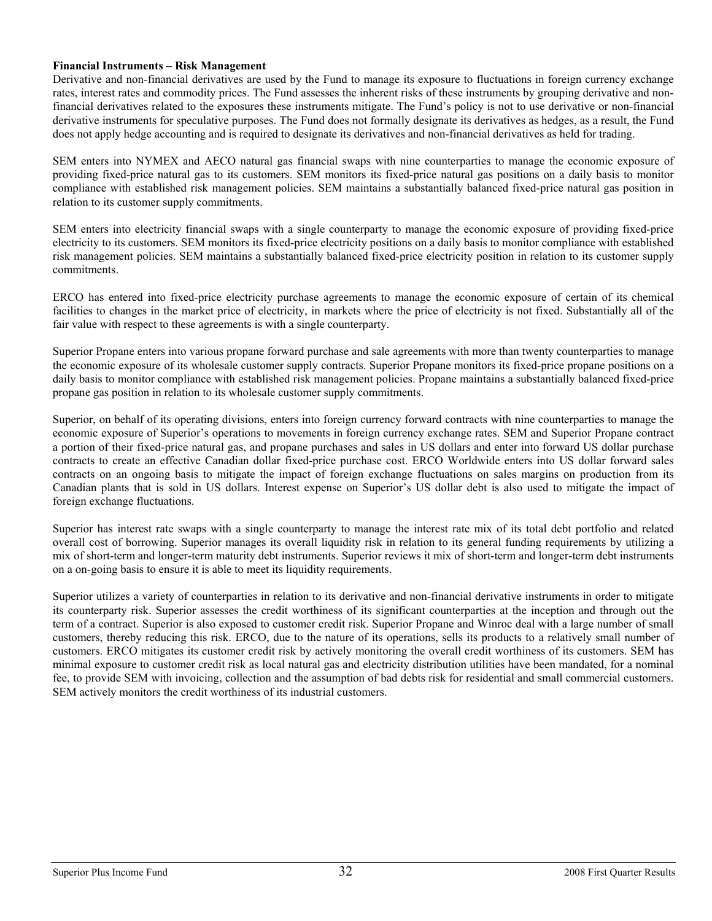#### **Financial Instruments – Risk Management**

Derivative and non-financial derivatives are used by the Fund to manage its exposure to fluctuations in foreign currency exchange rates, interest rates and commodity prices. The Fund assesses the inherent risks of these instruments by grouping derivative and nonfinancial derivatives related to the exposures these instruments mitigate. The Fund's policy is not to use derivative or non-financial derivative instruments for speculative purposes. The Fund does not formally designate its derivatives as hedges, as a result, the Fund does not apply hedge accounting and is required to designate its derivatives and non-financial derivatives as held for trading.

SEM enters into NYMEX and AECO natural gas financial swaps with nine counterparties to manage the economic exposure of providing fixed-price natural gas to its customers. SEM monitors its fixed-price natural gas positions on a daily basis to monitor compliance with established risk management policies. SEM maintains a substantially balanced fixed-price natural gas position in relation to its customer supply commitments.

SEM enters into electricity financial swaps with a single counterparty to manage the economic exposure of providing fixed-price electricity to its customers. SEM monitors its fixed-price electricity positions on a daily basis to monitor compliance with established risk management policies. SEM maintains a substantially balanced fixed-price electricity position in relation to its customer supply commitments.

ERCO has entered into fixed-price electricity purchase agreements to manage the economic exposure of certain of its chemical facilities to changes in the market price of electricity, in markets where the price of electricity is not fixed. Substantially all of the fair value with respect to these agreements is with a single counterparty.

Superior Propane enters into various propane forward purchase and sale agreements with more than twenty counterparties to manage the economic exposure of its wholesale customer supply contracts. Superior Propane monitors its fixed-price propane positions on a daily basis to monitor compliance with established risk management policies. Propane maintains a substantially balanced fixed-price propane gas position in relation to its wholesale customer supply commitments.

Superior, on behalf of its operating divisions, enters into foreign currency forward contracts with nine counterparties to manage the economic exposure of Superior's operations to movements in foreign currency exchange rates. SEM and Superior Propane contract a portion of their fixed-price natural gas, and propane purchases and sales in US dollars and enter into forward US dollar purchase contracts to create an effective Canadian dollar fixed-price purchase cost. ERCO Worldwide enters into US dollar forward sales contracts on an ongoing basis to mitigate the impact of foreign exchange fluctuations on sales margins on production from its Canadian plants that is sold in US dollars. Interest expense on Superior's US dollar debt is also used to mitigate the impact of foreign exchange fluctuations.

Superior has interest rate swaps with a single counterparty to manage the interest rate mix of its total debt portfolio and related overall cost of borrowing. Superior manages its overall liquidity risk in relation to its general funding requirements by utilizing a mix of short-term and longer-term maturity debt instruments. Superior reviews it mix of short-term and longer-term debt instruments on a on-going basis to ensure it is able to meet its liquidity requirements.

Superior utilizes a variety of counterparties in relation to its derivative and non-financial derivative instruments in order to mitigate its counterparty risk. Superior assesses the credit worthiness of its significant counterparties at the inception and through out the term of a contract. Superior is also exposed to customer credit risk. Superior Propane and Winroc deal with a large number of small customers, thereby reducing this risk. ERCO, due to the nature of its operations, sells its products to a relatively small number of customers. ERCO mitigates its customer credit risk by actively monitoring the overall credit worthiness of its customers. SEM has minimal exposure to customer credit risk as local natural gas and electricity distribution utilities have been mandated, for a nominal fee, to provide SEM with invoicing, collection and the assumption of bad debts risk for residential and small commercial customers. SEM actively monitors the credit worthiness of its industrial customers.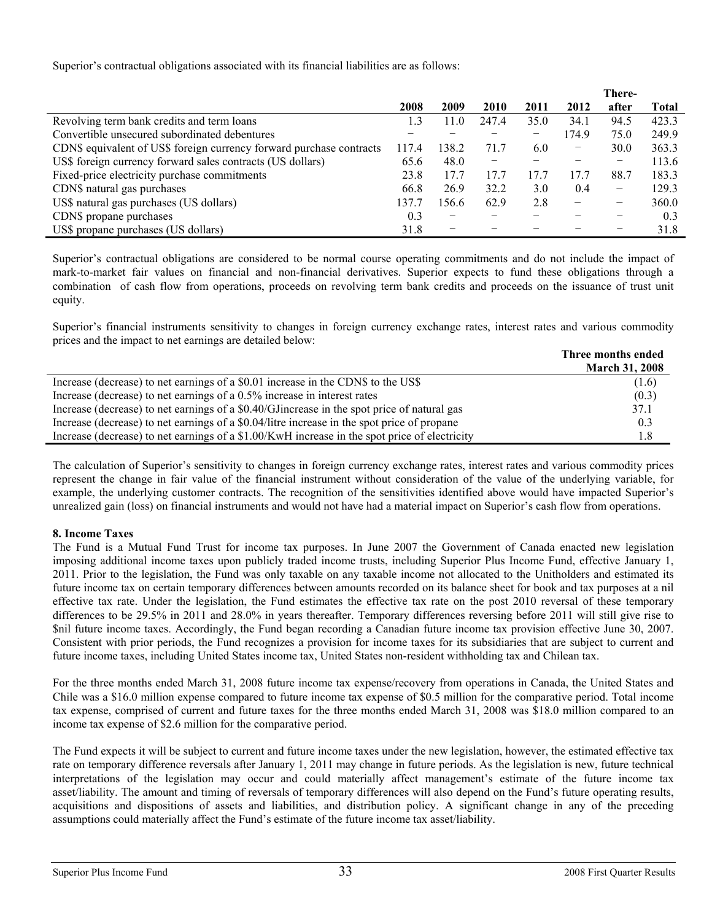Superior's contractual obligations associated with its financial liabilities are as follows:

|                                                                      |           |       |       |      |       | There-          |              |
|----------------------------------------------------------------------|-----------|-------|-------|------|-------|-----------------|--------------|
|                                                                      | 2008      | 2009  | 2010  | 2011 | 2012  | after           | <b>Total</b> |
| Revolving term bank credits and term loans                           | $\cdot$ 3 | 1.0   | 247.4 | 35.0 | 34.1  | 94.5            | 423.3        |
| Convertible unsecured subordinated debentures                        |           |       |       | -    | 174.9 | 75.0            | 249.9        |
| CDN\$ equivalent of US\$ foreign currency forward purchase contracts | 117.4     | 138.2 | 71.7  | 6.0  | -     | 30.0            | 363.3        |
| US\$ foreign currency forward sales contracts (US dollars)           | 65.6      | 48.0  | -     |      |       |                 | 113.6        |
| Fixed-price electricity purchase commitments                         | 23.8      | 17.7  | 17.7  | 17.7 | 17.7  | 88.7            | 183.3        |
| CDN\$ natural gas purchases                                          | 66.8      | 26.9  | 32.2  | 3.0  | 0.4   | $\qquad \qquad$ | 129.3        |
| US\$ natural gas purchases (US dollars)                              | 137.7     | 156.6 | 62.9  | 2.8  | -     | -               | 360.0        |
| CDN\$ propane purchases                                              | 0.3       | -     |       |      |       |                 | 0.3          |
| US\$ propane purchases (US dollars)                                  | 31.8      | -     |       |      |       |                 | 31.8         |

Superior's contractual obligations are considered to be normal course operating commitments and do not include the impact of mark-to-market fair values on financial and non-financial derivatives. Superior expects to fund these obligations through a combination of cash flow from operations, proceeds on revolving term bank credits and proceeds on the issuance of trust unit equity.

Superior's financial instruments sensitivity to changes in foreign currency exchange rates, interest rates and various commodity prices and the impact to net earnings are detailed below:

|                                                                                               | Three months ended    |
|-----------------------------------------------------------------------------------------------|-----------------------|
|                                                                                               | <b>March 31, 2008</b> |
| Increase (decrease) to net earnings of a \$0.01 increase in the CDN\$ to the US\$             | (1.6)                 |
| Increase (decrease) to net earnings of a 0.5% increase in interest rates                      | (0.3)                 |
| Increase (decrease) to net earnings of a \$0.40/GJ increase in the spot price of natural gas  | 37.1                  |
| Increase (decrease) to net earnings of a \$0.04/litre increase in the spot price of propane   | 0.3                   |
| Increase (decrease) to net earnings of a \$1.00/KwH increase in the spot price of electricity | 1.8                   |

The calculation of Superior's sensitivity to changes in foreign currency exchange rates, interest rates and various commodity prices represent the change in fair value of the financial instrument without consideration of the value of the underlying variable, for example, the underlying customer contracts. The recognition of the sensitivities identified above would have impacted Superior's unrealized gain (loss) on financial instruments and would not have had a material impact on Superior's cash flow from operations.

### **8. Income Taxes**

The Fund is a Mutual Fund Trust for income tax purposes. In June 2007 the Government of Canada enacted new legislation imposing additional income taxes upon publicly traded income trusts, including Superior Plus Income Fund, effective January 1, 2011. Prior to the legislation, the Fund was only taxable on any taxable income not allocated to the Unitholders and estimated its future income tax on certain temporary differences between amounts recorded on its balance sheet for book and tax purposes at a nil effective tax rate. Under the legislation, the Fund estimates the effective tax rate on the post 2010 reversal of these temporary differences to be 29.5% in 2011 and 28.0% in years thereafter. Temporary differences reversing before 2011 will still give rise to \$nil future income taxes. Accordingly, the Fund began recording a Canadian future income tax provision effective June 30, 2007. Consistent with prior periods, the Fund recognizes a provision for income taxes for its subsidiaries that are subject to current and future income taxes, including United States income tax, United States non-resident withholding tax and Chilean tax.

For the three months ended March 31, 2008 future income tax expense/recovery from operations in Canada, the United States and Chile was a \$16.0 million expense compared to future income tax expense of \$0.5 million for the comparative period. Total income tax expense, comprised of current and future taxes for the three months ended March 31, 2008 was \$18.0 million compared to an income tax expense of \$2.6 million for the comparative period.

The Fund expects it will be subject to current and future income taxes under the new legislation, however, the estimated effective tax rate on temporary difference reversals after January 1, 2011 may change in future periods. As the legislation is new, future technical interpretations of the legislation may occur and could materially affect management's estimate of the future income tax asset/liability. The amount and timing of reversals of temporary differences will also depend on the Fund's future operating results, acquisitions and dispositions of assets and liabilities, and distribution policy. A significant change in any of the preceding assumptions could materially affect the Fund's estimate of the future income tax asset/liability.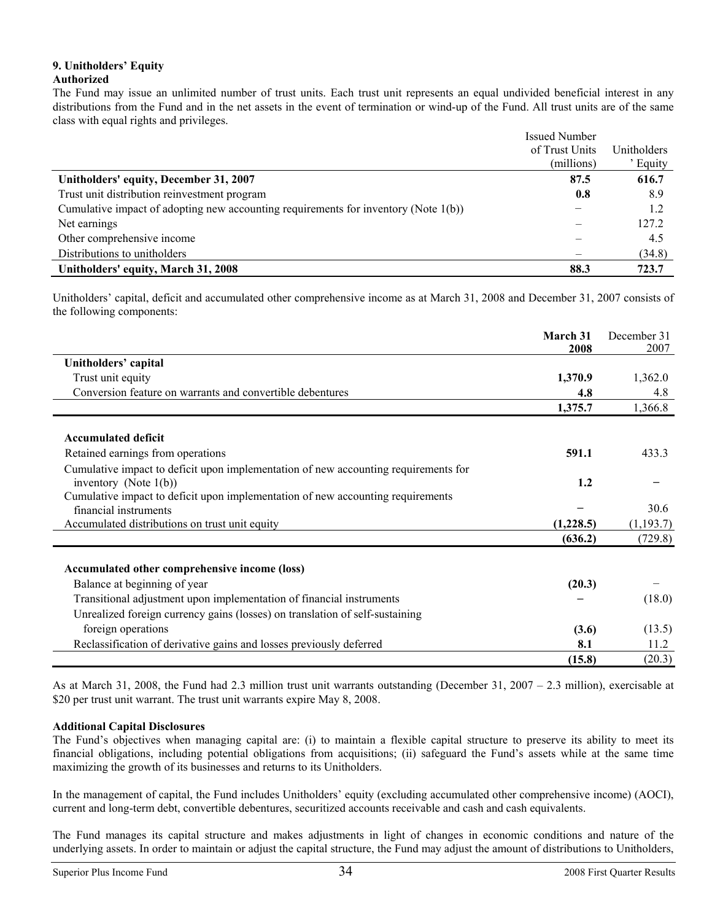#### **9. Unitholders' Equity Authorized**

The Fund may issue an unlimited number of trust units. Each trust unit represents an equal undivided beneficial interest in any distributions from the Fund and in the net assets in the event of termination or wind-up of the Fund. All trust units are of the same class with equal rights and privileges.

|                                                                                     | <b>Issued Number</b> |             |
|-------------------------------------------------------------------------------------|----------------------|-------------|
|                                                                                     | of Trust Units       | Unitholders |
|                                                                                     | (millions)           | Equity      |
| Unitholders' equity, December 31, 2007                                              | 87.5                 | 616.7       |
| Trust unit distribution reinvestment program                                        | 0.8                  | 8.9         |
| Cumulative impact of adopting new accounting requirements for inventory (Note 1(b)) |                      | 1.2         |
| Net earnings                                                                        |                      | 127.2       |
| Other comprehensive income                                                          |                      | 4.5         |
| Distributions to unitholders                                                        |                      | (34.8)      |
| Unitholders' equity, March 31, 2008                                                 | 88.3                 | 723.7       |

Unitholders' capital, deficit and accumulated other comprehensive income as at March 31, 2008 and December 31, 2007 consists of the following components:

|                                                                                     | March 31  | December 31 |
|-------------------------------------------------------------------------------------|-----------|-------------|
|                                                                                     | 2008      | 2007        |
| Unitholders' capital                                                                |           |             |
| Trust unit equity                                                                   | 1,370.9   | 1,362.0     |
| Conversion feature on warrants and convertible debentures                           | 4.8       | 4.8         |
|                                                                                     | 1,375.7   | 1,366.8     |
|                                                                                     |           |             |
| <b>Accumulated deficit</b>                                                          |           |             |
| Retained earnings from operations                                                   | 591.1     | 433.3       |
| Cumulative impact to deficit upon implementation of new accounting requirements for |           |             |
| inventory (Note $1(b)$ )                                                            | 1.2       |             |
| Cumulative impact to deficit upon implementation of new accounting requirements     |           |             |
| financial instruments                                                               |           | 30.6        |
| Accumulated distributions on trust unit equity                                      | (1,228.5) | (1, 193.7)  |
|                                                                                     | (636.2)   | (729.8)     |
|                                                                                     |           |             |
| Accumulated other comprehensive income (loss)                                       |           |             |
| Balance at beginning of year                                                        | (20.3)    |             |
| Transitional adjustment upon implementation of financial instruments                |           | (18.0)      |
| Unrealized foreign currency gains (losses) on translation of self-sustaining        |           |             |
| foreign operations                                                                  | (3.6)     | (13.5)      |
| Reclassification of derivative gains and losses previously deferred                 | 8.1       | 11.2        |
|                                                                                     | (15.8)    | (20.3)      |

As at March 31, 2008, the Fund had 2.3 million trust unit warrants outstanding (December 31, 2007 – 2.3 million), exercisable at \$20 per trust unit warrant. The trust unit warrants expire May 8, 2008.

### **Additional Capital Disclosures**

The Fund's objectives when managing capital are: (i) to maintain a flexible capital structure to preserve its ability to meet its financial obligations, including potential obligations from acquisitions; (ii) safeguard the Fund's assets while at the same time maximizing the growth of its businesses and returns to its Unitholders.

In the management of capital, the Fund includes Unitholders' equity (excluding accumulated other comprehensive income) (AOCI), current and long-term debt, convertible debentures, securitized accounts receivable and cash and cash equivalents.

The Fund manages its capital structure and makes adjustments in light of changes in economic conditions and nature of the underlying assets. In order to maintain or adjust the capital structure, the Fund may adjust the amount of distributions to Unitholders,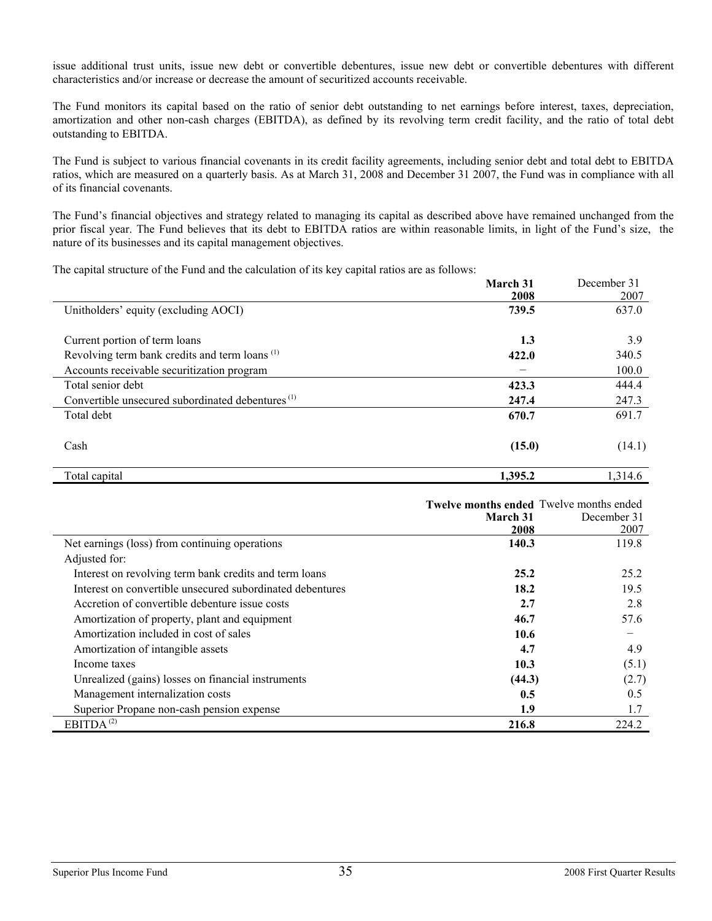issue additional trust units, issue new debt or convertible debentures, issue new debt or convertible debentures with different characteristics and/or increase or decrease the amount of securitized accounts receivable.

The Fund monitors its capital based on the ratio of senior debt outstanding to net earnings before interest, taxes, depreciation, amortization and other non-cash charges (EBITDA), as defined by its revolving term credit facility, and the ratio of total debt outstanding to EBITDA.

The Fund is subject to various financial covenants in its credit facility agreements, including senior debt and total debt to EBITDA ratios, which are measured on a quarterly basis. As at March 31, 2008 and December 31 2007, the Fund was in compliance with all of its financial covenants.

The Fund's financial objectives and strategy related to managing its capital as described above have remained unchanged from the prior fiscal year. The Fund believes that its debt to EBITDA ratios are within reasonable limits, in light of the Fund's size, the nature of its businesses and its capital management objectives.

The capital structure of the Fund and the calculation of its key capital ratios are as follows:

|                                                              | March 31<br>2008 | December 31<br>2007 |
|--------------------------------------------------------------|------------------|---------------------|
| Unitholders' equity (excluding AOCI)                         | 739.5            | 637.0               |
|                                                              |                  |                     |
| Current portion of term loans                                | 1.3              | 3.9                 |
| Revolving term bank credits and term loans <sup>(1)</sup>    | 422.0            | 340.5               |
| Accounts receivable securitization program                   |                  | 100.0               |
| Total senior debt                                            | 423.3            | 444.4               |
| Convertible unsecured subordinated debentures <sup>(1)</sup> | 247.4            | 247.3               |
| Total debt                                                   | 670.7            | 691.7               |
| Cash                                                         | (15.0)           | (14.1)              |
| Total capital                                                | 1,395.2          | 1,314.6             |

|                                                           | Twelve months ended Twelve months ended<br>March 31<br>2008 | December 31<br>2007 |
|-----------------------------------------------------------|-------------------------------------------------------------|---------------------|
| Net earnings (loss) from continuing operations            | 140.3                                                       | 119.8               |
| Adjusted for:                                             |                                                             |                     |
| Interest on revolving term bank credits and term loans    | 25.2                                                        | 25.2                |
| Interest on convertible unsecured subordinated debentures | 18.2                                                        | 19.5                |
| Accretion of convertible debenture issue costs            | 2.7                                                         | 2.8                 |
| Amortization of property, plant and equipment             | 46.7                                                        | 57.6                |
| Amortization included in cost of sales                    | 10.6                                                        | -                   |
| Amortization of intangible assets                         | 4.7                                                         | 4.9                 |
| Income taxes                                              | 10.3                                                        | (5.1)               |
| Unrealized (gains) losses on financial instruments        | (44.3)                                                      | (2.7)               |
| Management internalization costs                          | 0.5                                                         | 0.5                 |
| Superior Propane non-cash pension expense                 | 1.9                                                         | 1.7                 |
| EBITDA $^{(2)}$                                           | 216.8                                                       | 224.2               |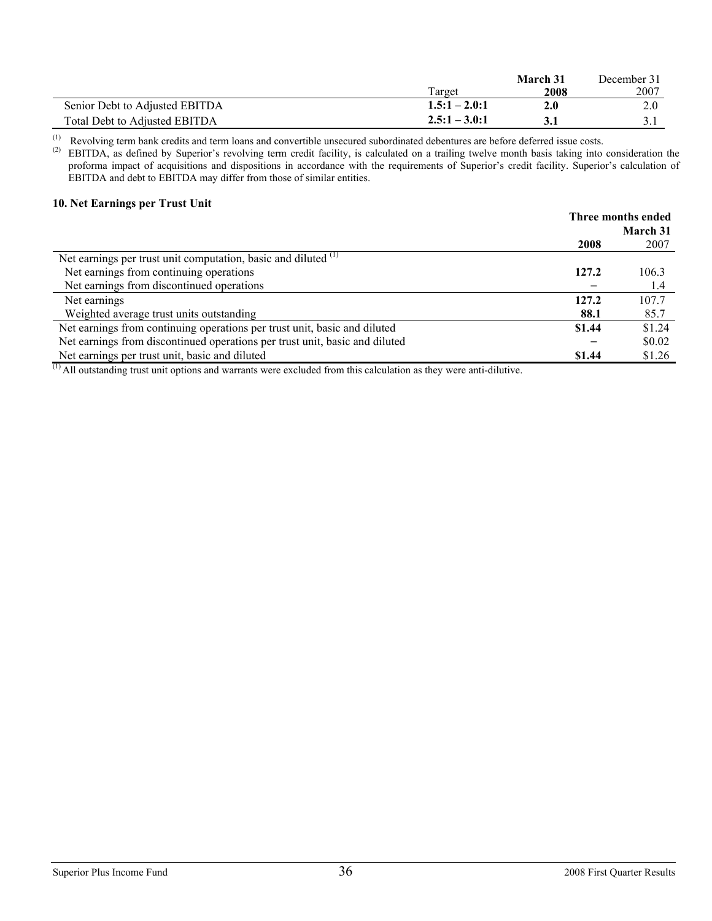|                                |                 | March 31 | December 31 |
|--------------------------------|-----------------|----------|-------------|
|                                | Target          | 2008     | 2007        |
| Senior Debt to Adjusted EBITDA | $1.5:1 - 2.0:1$ | 2.0      | 2.0         |
| Total Debt to Adjusted EBITDA  | $2.5:1 - 3.0:1$ |          |             |

(1) Revolving term bank credits and term loans and convertible unsecured subordinated debentures are before deferred issue costs.<br>(2) ERITDA as defined by Superior's revolving term credit facility is calculated on a trail

 $^{(2)}$  EBITDA, as defined by Superior's revolving term credit facility, is calculated on a trailing twelve month basis taking into consideration the proforma impact of acquisitions and dispositions in accordance with the requirements of Superior's credit facility. Superior's calculation of EBITDA and debt to EBITDA may differ from those of similar entities.

#### **10. Net Earnings per Trust Unit**

|                                                                             |        | Three months ended |
|-----------------------------------------------------------------------------|--------|--------------------|
|                                                                             |        | March 31           |
|                                                                             | 2008   | 2007               |
| Net earnings per trust unit computation, basic and diluted <sup>(1)</sup>   |        |                    |
| Net earnings from continuing operations                                     | 127.2  | 106.3              |
| Net earnings from discontinued operations                                   |        | 1.4                |
| Net earnings                                                                | 127.2  | 107.7              |
| Weighted average trust units outstanding                                    | 88.1   | 85.7               |
| Net earnings from continuing operations per trust unit, basic and diluted   | \$1.44 | \$1.24             |
| Net earnings from discontinued operations per trust unit, basic and diluted |        | \$0.02             |
| Net earnings per trust unit, basic and diluted                              | \$1.44 | \$1.26             |

 $<sup>(1)</sup>$  All outstanding trust unit options and warrants were excluded from this calculation as they were anti-dilutive.</sup>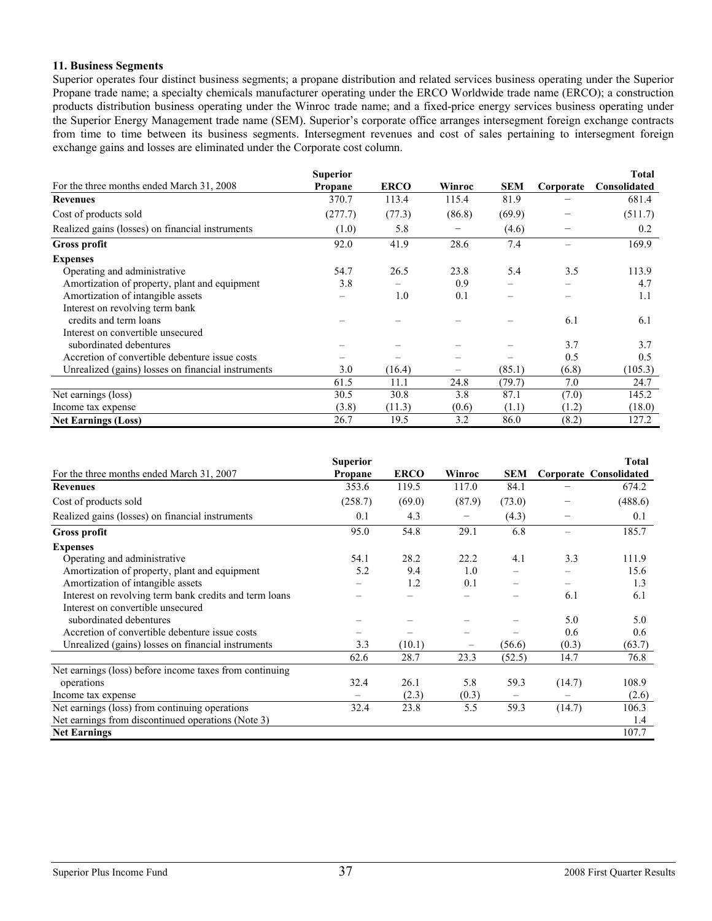#### **11. Business Segments**

Superior operates four distinct business segments; a propane distribution and related services business operating under the Superior Propane trade name; a specialty chemicals manufacturer operating under the ERCO Worldwide trade name (ERCO); a construction products distribution business operating under the Winroc trade name; and a fixed-price energy services business operating under the Superior Energy Management trade name (SEM). Superior's corporate office arranges intersegment foreign exchange contracts from time to time between its business segments. Intersegment revenues and cost of sales pertaining to intersegment foreign exchange gains and losses are eliminated under the Corporate cost column.

|                                                    | <b>Superior</b> |             |        |            |           | <b>Total</b> |
|----------------------------------------------------|-----------------|-------------|--------|------------|-----------|--------------|
| For the three months ended March 31, 2008          | <b>Propane</b>  | <b>ERCO</b> | Winroc | <b>SEM</b> | Corporate | Consolidated |
| <b>Revenues</b>                                    | 370.7           | 113.4       | 115.4  | 81.9       |           | 681.4        |
| Cost of products sold                              | (277.7)         | (77.3)      | (86.8) | (69.9)     |           | (511.7)      |
| Realized gains (losses) on financial instruments   | (1.0)           | 5.8         |        | (4.6)      | -         | 0.2          |
| <b>Gross profit</b>                                | 92.0            | 41.9        | 28.6   | 7.4        |           | 169.9        |
| <b>Expenses</b>                                    |                 |             |        |            |           |              |
| Operating and administrative                       | 54.7            | 26.5        | 23.8   | 5.4        | 3.5       | 113.9        |
| Amortization of property, plant and equipment      | 3.8             |             | 0.9    |            |           | 4.7          |
| Amortization of intangible assets                  |                 | 1.0         | 0.1    |            |           | 1.1          |
| Interest on revolving term bank                    |                 |             |        |            |           |              |
| credits and term loans                             |                 |             |        |            | 6.1       | 6.1          |
| Interest on convertible unsecured                  |                 |             |        |            |           |              |
| subordinated debentures                            |                 |             |        |            | 3.7       | 3.7          |
| Accretion of convertible debenture issue costs     |                 |             |        |            | 0.5       | 0.5          |
| Unrealized (gains) losses on financial instruments | 3.0             | (16.4)      | —      | (85.1)     | (6.8)     | (105.3)      |
|                                                    | 61.5            | 11.1        | 24.8   | (79.7)     | 7.0       | 24.7         |
| Net earnings (loss)                                | 30.5            | 30.8        | 3.8    | 87.1       | (7.0)     | 145.2        |
| Income tax expense                                 | (3.8)           | (11.3)      | (0.6)  | (1.1)      | (1.2)     | (18.0)       |
| <b>Net Earnings (Loss)</b>                         | 26.7            | 19.5        | 3.2    | 86.0       | (8.2)     | 127.2        |

|                                                         | <b>Superior</b> |             |        |                   |        | <b>Total</b>                  |
|---------------------------------------------------------|-----------------|-------------|--------|-------------------|--------|-------------------------------|
| For the three months ended March 31, 2007               | Propane         | <b>ERCO</b> | Winroc | <b>SEM</b>        |        | <b>Corporate Consolidated</b> |
| <b>Revenues</b>                                         | 353.6           | 119.5       | 117.0  | 84.1              |        | 674.2                         |
| Cost of products sold                                   | (258.7)         | (69.0)      | (87.9) | (73.0)            |        | (488.6)                       |
| Realized gains (losses) on financial instruments        | 0.1             | 4.3         | —      | (4.3)             |        | 0.1                           |
| <b>Gross profit</b>                                     | 95.0            | 54.8        | 29.1   | 6.8               |        | 185.7                         |
| <b>Expenses</b>                                         |                 |             |        |                   |        |                               |
| Operating and administrative                            | 54.1            | 28.2        | 22.2   | 4.1               | 3.3    | 111.9                         |
| Amortization of property, plant and equipment           | 5.2             | 9.4         | 1.0    |                   |        | 15.6                          |
| Amortization of intangible assets                       |                 | 1.2         | 0.1    |                   |        | 1.3                           |
| Interest on revolving term bank credits and term loans  |                 |             |        |                   | 6.1    | 6.1                           |
| Interest on convertible unsecured                       |                 |             |        |                   |        |                               |
| subordinated debentures                                 |                 |             |        |                   | 5.0    | 5.0                           |
| Accretion of convertible debenture issue costs          |                 |             |        |                   | 0.6    | 0.6                           |
| Unrealized (gains) losses on financial instruments      | 3.3             | (10.1)      |        | (56.6)            | (0.3)  | (63.7)                        |
|                                                         | 62.6            | 28.7        | 23.3   | (52.5)            | 14.7   | 76.8                          |
| Net earnings (loss) before income taxes from continuing |                 |             |        |                   |        |                               |
| operations                                              | 32.4            | 26.1        | 5.8    | 59.3              | (14.7) | 108.9                         |
| Income tax expense                                      |                 | (2.3)       | (0.3)  | $\qquad \qquad -$ |        | (2.6)                         |
| Net earnings (loss) from continuing operations          | 32.4            | 23.8        | 5.5    | 59.3              | (14.7) | 106.3                         |
| Net earnings from discontinued operations (Note 3)      |                 |             |        |                   |        | 1.4                           |
| <b>Net Earnings</b>                                     |                 |             |        |                   |        | 107.7                         |